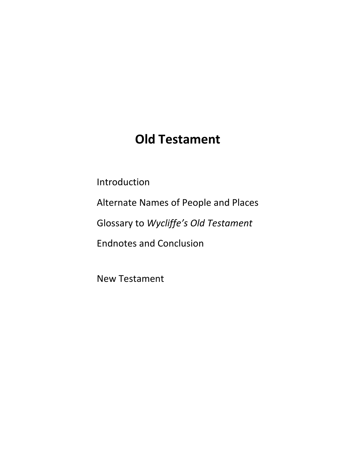# <span id="page-0-0"></span>**Old Testament**

[Introduction](#page-1-0)

[Alternate Names of People and Places](#page-18-0)

Glossary to *[Wycliffe's Old Testament](#page-20-0)*

[Endnotes and Conclusion](#page-38-0)

[New Testament](#page-42-0)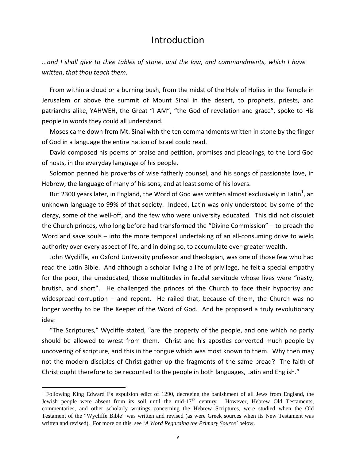<span id="page-1-0"></span>*...and I shall give to thee tables of stone*, *and the law*, *and commandments*, *which I have written*, *that thou teach them.*

 From within a cloud or a burning bush, from the midst of the Holy of Holies in the Temple in Jerusalem or above the summit of Mount Sinai in the desert, to prophets, priests, and patriarchs alike, YAHWEH, the Great "I AM", "the God of revelation and grace", spoke to His people in words they could all understand.

 Moses came down from Mt. Sinai with the ten commandments written in stone by the finger of God in a language the entire nation of Israel could read.

 David composed his poems of praise and petition, promises and pleadings, to the Lord God of hosts, in the everyday language of his people.

 Solomon penned his proverbs of wise fatherly counsel, and his songs of passionate love, in Hebrew, the language of many of his sons, and at least some of his lovers.

But 2300 years later, in England, the Word of God was written almost exclusively in Latin<sup>1</sup>, an unknown language to 99% of that society. Indeed, Latin was only understood by some of the clergy, some of the well‐off, and the few who were university educated. This did not disquiet the Church princes, who long before had transformed the "Divine Commission" – to preach the Word and save souls – into the more temporal undertaking of an all-consuming drive to wield authority over every aspect of life, and in doing so, to accumulate ever‐greater wealth.

 John Wycliffe, an Oxford University professor and theologian, was one of those few who had read the Latin Bible. And although a scholar living a life of privilege, he felt a special empathy for the poor, the uneducated, those multitudes in feudal servitude whose lives were "nasty, brutish, and short". He challenged the princes of the Church to face their hypocrisy and widespread corruption  $-$  and repent. He railed that, because of them, the Church was no longer worthy to be The Keeper of the Word of God. And he proposed a truly revolutionary idea:

 "The Scriptures," Wycliffe stated, "are the property of the people, and one which no party should be allowed to wrest from them. Christ and his apostles converted much people by uncovering of scripture, and this in the tongue which was most known to them. Why then may not the modern disciples of Christ gather up the fragments of the same bread? The faith of Christ ought therefore to be recounted to the people in both languages, Latin and English."

 $\overline{a}$ 

<sup>&</sup>lt;sup>1</sup> Following King Edward I's expulsion edict of 1290, decreeing the banishment of all Jews from England, the Jewish people were absent from its soil until the mid- $17<sup>TH</sup>$  century. However, Hebrew Old Testaments, commentaries, and other scholarly writings concerning the Hebrew Scriptures, were studied when the Old Testament of the "Wycliffe Bible" was written and revised (as were Greek sources when its New Testament was written and revised). For more on this, see '*A Word Regarding the Primary Source'* below.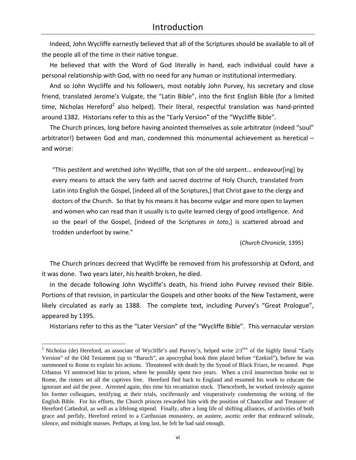Indeed, John Wycliffe earnestly believed that all of the Scriptures should be available to all of the people all of the time in their native tongue.

 He believed that with the Word of God literally in hand, each individual could have a personal relationship with God, with no need for any human or institutional intermediary.

 And so John Wycliffe and his followers, most notably John Purvey, his secretary and close friend, translated Jerome's Vulgate, the "Latin Bible", into the first English Bible (for a limited time, Nicholas Hereford<sup>2</sup> also helped). Their literal, respectful translation was hand-printed around 1382. Historians refer to this as the "Early Version" of the "Wycliffe Bible".

 The Church princes, long before having anointed themselves as sole arbitrator (indeed "soul" arbitrator!) between God and man, condemned this monumental achievement as heretical – and worse:

"This pestilent and wretched John Wycliffe, that son of the old serpent... endeavour[ing] by every means to attack the very faith and sacred doctrine of Holy Church, translated from Latin into English the Gospel, [indeed all of the Scriptures,] that Christ gave to the clergy and doctors of the Church. So that by his means it has become vulgar and more open to laymen and women who can read than it usually is to quite learned clergy of good intelligence. And so the pearl of the Gospel, [indeed of the Scriptures *in toto*,] is scattered abroad and trodden underfoot by swine."

(*Church Chronicle,* 1395)

 The Church princes decreed that Wycliffe be removed from his professorship at Oxford, and it was done. Two years later, his health broken, he died.

 In the decade following John Wycliffe's death, his friend John Purvey revised their Bible. Portions of that revision, in particular the Gospels and other books of the New Testament, were likely circulated as early as 1388. The complete text, including Purvey's "Great Prologue", appeared by 1395.

Historians refer to this as the "Later Version" of the "Wycliffe Bible". This vernacular version

 $\overline{a}$ 

<sup>&</sup>lt;sup>2</sup> Nicholas (de) Hereford, an associate of Wycliffe's and Purvey's, helped write  $2/3^{RDS}$  of the highly literal "Early Version" of the Old Testament (up to "Baruch", an apocryphal book then placed before "Ezekiel"), before he was summoned to Rome to explain his actions. Threatened with death by the Synod of Black Friars, he recanted. Pope Urbanus VI sentenced him to prison, where he possibly spent two years. When a civil insurrection broke out in Rome, the rioters set all the captives free. Hereford fled back to England and resumed his work to educate the ignorant and aid the poor. Arrested again, this time his recantation stuck. Thenceforth, he worked tirelessly against his former colleagues, testifying at their trials, vociferously and vituperatively condemning the writing of the English Bible. For his efforts, the Church princes rewarded him with the position of Chancellor and Treasurer of Hereford Cathedral, as well as a lifelong stipend. Finally, after a long life of shifting alliances, of activities of both grace and perfidy, Hereford retired to a Carthusian monastery, an austere, ascetic order that embraced solitude, silence, and midnight masses. Perhaps, at long last, he felt he had said enough.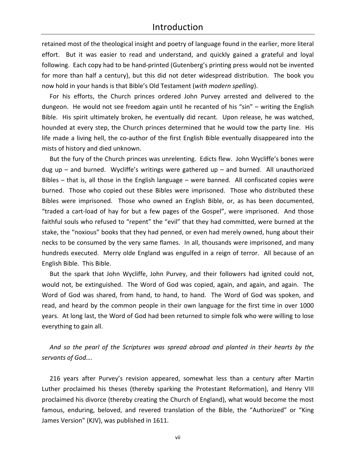retained most of the theological insight and poetry of language found in the earlier, more literal effort. But it was easier to read and understand, and quickly gained a grateful and loyal following. Each copy had to be hand‐printed (Gutenberg's printing press would not be invented for more than half a century), but this did not deter widespread distribution. The book you now hold in your hands is that Bible's Old Testament (*with modern spelling*).

 For his efforts, the Church princes ordered John Purvey arrested and delivered to the dungeon. He would not see freedom again until he recanted of his "sin" – writing the English Bible. His spirit ultimately broken, he eventually did recant. Upon release, he was watched, hounded at every step, the Church princes determined that he would tow the party line. His life made a living hell, the co-author of the first English Bible eventually disappeared into the mists of history and died unknown.

 But the fury of the Church princes was unrelenting. Edicts flew. John Wycliffe's bones were dug up  $-$  and burned. Wycliffe's writings were gathered up  $-$  and burned. All unauthorized Bibles – that is, all those in the English language – were banned. All confiscated copies were burned. Those who copied out these Bibles were imprisoned. Those who distributed these Bibles were imprisoned. Those who owned an English Bible, or, as has been documented, "traded a cart‐load of hay for but a few pages of the Gospel", were imprisoned. And those faithful souls who refused to "repent" the "evil" that they had committed, were burned at the stake, the "noxious" books that they had penned, or even had merely owned, hung about their necks to be consumed by the very same flames. In all, thousands were imprisoned, and many hundreds executed. Merry olde England was engulfed in a reign of terror. All because of an English Bible. This Bible.

 But the spark that John Wycliffe, John Purvey, and their followers had ignited could not, would not, be extinguished. The Word of God was copied, again, and again, and again. The Word of God was shared, from hand, to hand, to hand. The Word of God was spoken, and read, and heard by the common people in their own language for the first time in over 1000 years. At long last, the Word of God had been returned to simple folk who were willing to lose everything to gain all.

 *And so the pearl of the Scriptures was spread abroad and planted in their hearts by the servants of God….*

 216 years after Purvey's revision appeared, somewhat less than a century after Martin Luther proclaimed his theses (thereby sparking the Protestant Reformation), and Henry VIII proclaimed his divorce (thereby creating the Church of England), what would become the most famous, enduring, beloved, and revered translation of the Bible, the "Authorized" or "King James Version" (KJV), was published in 1611.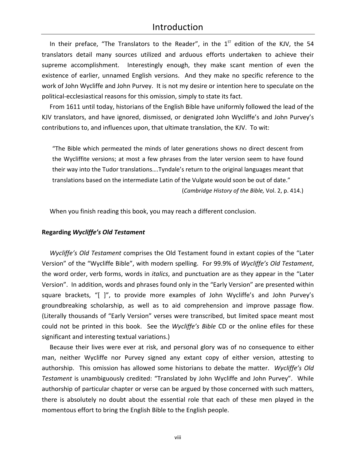In their preface, "The Translators to the Reader", in the  $1<sup>ST</sup>$  edition of the KJV, the 54 translators detail many sources utilized and arduous efforts undertaken to achieve their supreme accomplishment. Interestingly enough, they make scant mention of even the existence of earlier, unnamed English versions. And they make no specific reference to the work of John Wycliffe and John Purvey. It is not my desire or intention here to speculate on the political‐ecclesiastical reasons for this omission, simply to state its fact.

 From 1611 until today, historians of the English Bible have uniformly followed the lead of the KJV translators, and have ignored, dismissed, or denigrated John Wycliffe's and John Purvey's contributions to, and influences upon, that ultimate translation, the KJV. To wit:

"The Bible which permeated the minds of later generations shows no direct descent from the Wycliffite versions; at most a few phrases from the later version seem to have found their way into the Tudor translations….Tyndale's return to the original languages meant that translations based on the intermediate Latin of the Vulgate would soon be out of date."

(*Cambridge History of the Bible,* Vol. 2, p. 414.)

When you finish reading this book, you may reach a different conclusion.

#### **Regarding** *Wycliffe's Old Testament*

 *Wycliffe's Old Testament* comprises the Old Testament found in extant copies of the "Later Version" of the "Wycliffe Bible", with modern spelling. For 99.9% of *Wycliffe's Old Testament*, the word order, verb forms, words in *italics*, and punctuation are as they appear in the "Later Version". In addition, words and phrases found only in the "Early Version" are presented within square brackets, "[ ]", to provide more examples of John Wycliffe's and John Purvey's groundbreaking scholarship, as well as to aid comprehension and improve passage flow. (Literally thousands of "Early Version" verses were transcribed, but limited space meant most could not be printed in this book. See the *Wycliffe's Bible* CD or the online efiles for these significant and interesting textual variations.)

 Because their lives were ever at risk, and personal glory was of no consequence to either man, neither Wycliffe nor Purvey signed any extant copy of either version, attesting to authorship. This omission has allowed some historians to debate the matter. *Wycliffe's Old Testament* is unambiguously credited: "Translated by John Wycliffe and John Purvey". While authorship of particular chapter or verse can be argued by those concerned with such matters, there is absolutely no doubt about the essential role that each of these men played in the momentous effort to bring the English Bible to the English people.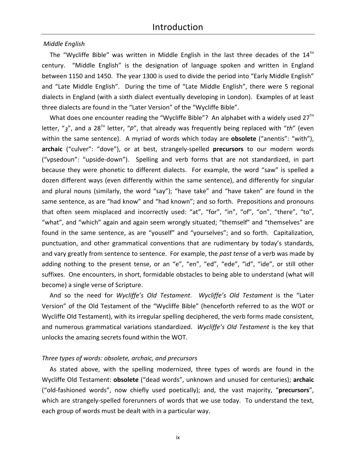#### *Middle English*

The "Wycliffe Bible" was written in Middle English in the last three decades of the  $14<sup>TH</sup>$ century. "Middle English" is the designation of language spoken and written in England between 1150 and 1450. The year 1300 is used to divide the period into "Early Middle English" and "Late Middle English". During the time of "Late Middle English", there were 5 regional dialects in England (with a sixth dialect eventually developing in London). Examples of at least three dialects are found in the "Later Version" of the "Wycliffe Bible".

What does one encounter reading the "Wycliffe Bible"? An alphabet with a widely used  $27<sup>TH</sup>$ letter, "3", and a 28<sup>TH</sup> letter, "p", that already was frequently being replaced with "th" (even within the same sentence). A myriad of words which today are **obsolete** ("anentis": "with"), **archaic** ("culver": "dove"), or at best, strangely‐spelled **precursors** to our modern words ("vpsedoun": "upside‐down"). Spelling and verb forms that are not standardized, in part because they were phonetic to different dialects. For example, the word "saw" is spelled a dozen different ways (even differently within the same sentence), and differently for singular and plural nouns (similarly, the word "say"); "have take" and "have taken" are found in the same sentence, as are "had know" and "had known"; and so forth. Prepositions and pronouns that often seem misplaced and incorrectly used: "at", "for", "in", "of", "on", "there", "to", "what", and "which" again and again seem wrongly situated; "themself" and "themselves" are found in the same sentence, as are "youself" and "yourselves"; and so forth. Capitalization, punctuation, and other grammatical conventions that are rudimentary by today's standards, and vary greatly from sentence to sentence. For example, the *past tense* of a verb was made by adding nothing to the present tense, or an "e", "en", "ed", "ede", "id", "ide", or still other suffixes. One encounters, in short, formidable obstacles to being able to understand (what will become) a single verse of Scripture.

 And so the need for *Wycliffe's Old Testament*. *Wycliffe's Old Testament* is the "Later Version" of the Old Testament of the "Wycliffe Bible" (henceforth referred to as the WOT or Wycliffe Old Testament), with its irregular spelling deciphered, the verb forms made consistent, and numerous grammatical variations standardized. *Wycliffe's Old Testament* is the key that unlocks the amazing secrets found within the WOT.

### *Three types of words: obsolete, archaic, and precursors*

 As stated above, with the spelling modernized, three types of words are found in the Wycliffe Old Testament: **obsolete** ("dead words", unknown and unused for centuries); **archaic** ("old‐fashioned words", now chiefly used poetically); and, the vast majority, "**precursors**", which are strangely-spelled forerunners of words that we use today. To understand the text, each group of words must be dealt with in a particular way.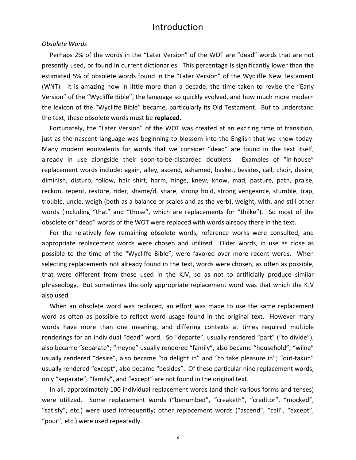#### *Obsolete Words*

 Perhaps 2% of the words in the "Later Version" of the WOT are "dead" words that are not presently used, or found in current dictionaries. This percentage is significantly lower than the estimated 5% of obsolete words found in the "Later Version" of the Wycliffe New Testament (WNT). It is amazing how in little more than a decade, the time taken to revise the "Early Version" of the "Wycliffe Bible", the language so quickly evolved, and how much more modern the lexicon of the "Wycliffe Bible" became, particularly its Old Testament. But to understand the text, these obsolete words must be **replaced**.

 Fortunately, the "Later Version" of the WOT was created at an exciting time of transition, just as the nascent language was beginning to blossom into the English that we know today. Many modern equivalents for words that we consider "dead" are found in the text itself, already in use alongside their soon-to-be-discarded doublets. Examples of "in-house" replacement words include: again, alley, ascend, ashamed, basket, besides, call, choir, desire, diminish, disturb, follow, hair shirt, harm, hinge, knew, know, mad, pasture, path, praise, reckon, repent, restore, rider, shame/d, snare, strong hold, strong vengeance, stumble, trap, trouble, uncle, weigh (both as a balance or scales and as the verb), weight, with, and still other words (including "that" and "those", which are replacements for "thilke"). So most of the obsolete or "dead" words of the WOT were replaced with words already there in the text.

 For the relatively few remaining obsolete words, reference works were consulted, and appropriate replacement words were chosen and utilized. Older words, in use as close as possible to the time of the "Wycliffe Bible", were favored over more recent words. When selecting replacements not already found in the text, words were chosen, as often as possible, that were different from those used in the KJV, so as not to artificially produce similar phraseology. But sometimes the only appropriate replacement word was that which the KJV also used.

 When an obsolete word was replaced, an effort was made to use the same replacement word as often as possible to reflect word usage found in the original text. However many words have more than one meaning, and differing contexts at times required multiple renderings for an individual "dead" word. So "departe", usually rendered "part" ("to divide"), also became "separate"; "meyne" usually rendered "family", also became "household"; "wilne" usually rendered "desire", also became "to delight in" and "to take pleasure in"; "out-takun" usually rendered "except", also became "besides". Of these particular nine replacement words, only "separate", "family", and "except" are not found in the original text.

 In all, approximately 100 individual replacement words (and their various forms and tenses) were utilized. Some replacement words ("benumbed", "creaketh", "creditor", "mocked", "satisfy", etc.) were used infrequently; other replacement words ("ascend", "call", "except", "pour", etc.) were used repeatedly.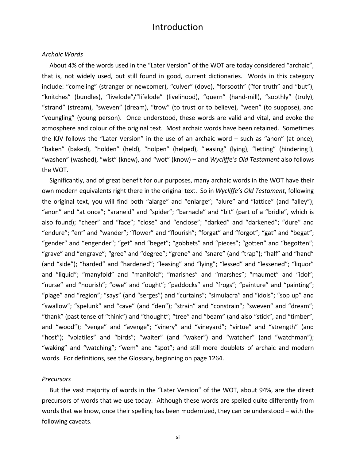#### *Archaic Words*

 About 4% of the words used in the "Later Version" of the WOT are today considered "archaic", that is, not widely used, but still found in good, current dictionaries. Words in this category include: "comeling" (stranger or newcomer), "culver" (dove), "forsooth" ("for truth" and "but"), "knitches" (bundles), "livelode"/"lifelode" (livelihood), "quern" (hand‐mill), "soothly" (truly), "strand" (stream), "sweven" (dream), "trow" (to trust or to believe), "ween" (to suppose), and "youngling" (young person). Once understood, these words are valid and vital, and evoke the atmosphere and colour of the original text. Most archaic words have been retained. Sometimes the KJV follows the "Later Version" in the use of an archaic word – such as "anon" (at once), "baken" (baked), "holden" (held), "holpen" (helped), "leasing" (lying), "letting" (hindering!), "washen" (washed), "wist" (knew), and "wot" (know) – and *Wycliffe's Old Testament* also follows the WOT.

 Significantly, and of great benefit for our purposes, many archaic words in the WOT have their own modern equivalents right there in the original text. So in *Wycliffe's Old Testament*, following the original text, you will find both "alarge" and "enlarge"; "alure" and "lattice" (and "alley"); "anon" and "at once"; "araneid" and "spider"; "barnacle" and "bit" (part of a "bridle", which is also found); "cheer" and "face"; "close" and "enclose"; "darked" and "darkened"; "dure" and "endure"; "err" and "wander"; "flower" and "flourish"; "forgat" and "forgot"; "gat" and "begat"; "gender" and "engender"; "get" and "beget"; "gobbets" and "pieces"; "gotten" and "begotten"; "grave" and "engrave"; "gree" and "degree"; "grene" and "snare" (and "trap"); "half" and "hand" (and "side"); "harded" and "hardened"; "leasing" and "lying"; "lessed" and "lessened"; "liquor" and "liquid"; "manyfold" and "manifold"; "marishes" and "marshes"; "maumet" and "idol"; "nurse" and "nourish"; "owe" and "ought"; "paddocks" and "frogs"; "painture" and "painting"; "plage" and "region"; "says" (and "serges") and "curtains"; "simulacra" and "idols"; "sop up" and "swallow"; "spelunk" and "cave" (and "den"); "strain" and "constrain"; "sweven" and "dream"; "thank" (past tense of "think") and "thought"; "tree" and "beam" (and also "stick", and "timber", and "wood"); "venge" and "avenge"; "vinery" and "vineyard"; "virtue" and "strength" (and "host"); "volatiles" and "birds"; "waiter" (and "waker") and "watcher" (and "watchman"); "waking" and "watching"; "wem" and "spot"; and still more doublets of archaic and modern words. For definitions, see the Glossary, beginning on page 1264.

### *Precursors*

 But the vast majority of words in the "Later Version" of the WOT, about 94%, are the direct precursors of words that we use today. Although these words are spelled quite differently from words that we know, once their spelling has been modernized, they can be understood – with the following caveats.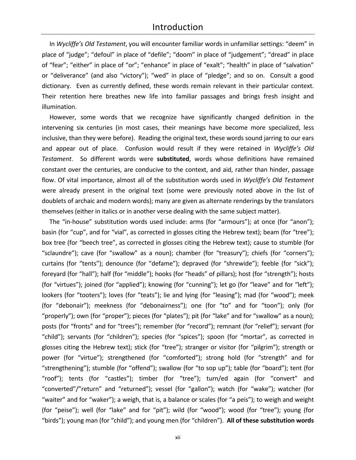In *Wycliffe's Old Testament*, you will encounter familiar words in unfamiliar settings: "deem" in place of "judge"; "defoul" in place of "defile"; "doom" in place of "judgement"; "dread" in place of "fear"; "either" in place of "or"; "enhance" in place of "exalt"; "health" in place of "salvation" or "deliverance" (and also "victory"); "wed" in place of "pledge"; and so on. Consult a good dictionary. Even as currently defined, these words remain relevant in their particular context. Their retention here breathes new life into familiar passages and brings fresh insight and illumination.

 However, some words that we recognize have significantly changed definition in the intervening six centuries (in most cases, their meanings have become more specialized, less inclusive, than they were before). Reading the original text, these words sound jarring to our ears and appear out of place. Confusion would result if they were retained in *Wycliffe's Old Testament*. So different words were **substituted**, words whose definitions have remained constant over the centuries, are conducive to the context, and aid, rather than hinder, passage flow. Of vital importance, almost all of the substitution words used in *Wycliffe's Old Testament* were already present in the original text (some were previously noted above in the list of doublets of archaic and modern words); many are given as alternate renderings by the translators themselves (either in italics or in another verse dealing with the same subject matter).

The "in-house" substitution words used include: arms (for "armours"); at once (for "anon"); basin (for "cup", and for "vial", as corrected in glosses citing the Hebrew text); beam (for "tree"); box tree (for "beech tree", as corrected in glosses citing the Hebrew text); cause to stumble (for "sclaundre"); cave (for "swallow" as a noun); chamber (for "treasury"); chiefs (for "corners"); curtains (for "tents"); denounce (for "defame"); depraved (for "shrewide"); feeble (for "sick"); foreyard (for "hall"); half (for "middle"); hooks (for "heads" of pillars); host (for "strength"); hosts (for "virtues"); joined (for "applied"); knowing (for "cunning"); let go (for "leave" and for "left"); lookers (for "tooters"); loves (for "teats"); lie and lying (for "leasing"); mad (for "wood"); meek (for "debonair"); meekness (for "debonairness"); one (for "to" and for "toon"); only (for "properly"); own (for "proper"); pieces (for "plates"); pit (for "lake" and for "swallow" as a noun); posts (for "fronts" and for "trees"); remember (for "record"); remnant (for "relief"); servant (for "child"); servants (for "children"); species (for "spices"); spoon (for "mortar", as corrected in glosses citing the Hebrew text); stick (for "tree"); stranger or visitor (for "pilgrim"); strength or power (for "virtue"); strengthened (for "comforted"); strong hold (for "strength" and for "strengthening"); stumble (for "offend"); swallow (for "to sop up"); table (for "board"); tent (for "roof"); tents (for "castles"); timber (for "tree"); turn/ed again (for "convert" and "converted"/"return" and "returned"); vessel (for "gallon"); watch (for "wake"); watcher (for "waiter" and for "waker"); a weigh, that is, a balance or scales (for "a peis"); to weigh and weight (for "peise"); well (for "lake" and for "pit"); wild (for "wood"); wood (for "tree"); young (for "birds"); young man (for "child"); and young men (for "children"). **All of these substitution words**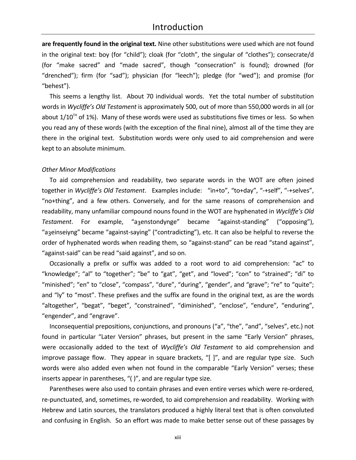**are frequently found in the original text.** Nine other substitutions were used which are not found in the original text: boy (for "child"); cloak (for "cloth", the singular of "clothes"); consecrate/d (for "make sacred" and "made sacred", though "consecration" is found); drowned (for "drenched"); firm (for "sad"); physician (for "leech"); pledge (for "wed"); and promise (for "behest").

This seems a lengthy list. About 70 individual words. Yet the total number of substitution words in *Wycliffe's Old Testament* is approximately 500, out of more than 550,000 words in all (or about  $1/10^{TH}$  of 1%). Many of these words were used as substitutions five times or less. So when you read any of these words (with the exception of the final nine), almost all of the time they are there in the original text. Substitution words were only used to aid comprehension and were kept to an absolute minimum.

#### *Other Minor Modifications*

 To aid comprehension and readability, two separate words in the WOT are often joined together in *Wycliffe's Old Testament*. Examples include: "in+to", "to+day", "‐+self", "‐+selves", "no+thing", and a few others. Conversely, and for the same reasons of comprehension and readability, many unfamiliar compound nouns found in the WOT are hyphenated in *Wycliffe's Old Testament*. For example, "a3enstondynge" became "against‐standing" ("opposing"), "a3einseiyng" became "against‐saying" ("contradicting"), etc. It can also be helpful to reverse the order of hyphenated words when reading them, so "against-stand" can be read "stand against", "against‐said" can be read "said against", and so on.

 Occasionally a prefix or suffix was added to a root word to aid comprehension: "ac" to "knowledge"; "al" to "together"; "be" to "gat", "get", and "loved"; "con" to "strained"; "di" to "minished"; "en" to "close", "compass", "dure", "during", "gender", and "grave"; "re" to "quite"; and "ly" to "most". These prefixes and the suffix are found in the original text, as are the words "altogether", "begat", "beget", "constrained", "diminished", "enclose", "endure", "enduring", "engender", and "engrave".

Inconsequential prepositions, conjunctions, and pronouns ("a", "the", "and", "selves", etc.) not found in particular "Later Version" phrases, but present in the same "Early Version" phrases, were occasionally added to the text of *Wycliffe's Old Testament* to aid comprehension and improve passage flow. They appear in square brackets, "[]", and are regular type size. Such words were also added even when not found in the comparable "Early Version" verses; these inserts appear in parentheses, "( )", and are regular type size.

 Parentheses were also used to contain phrases and even entire verses which were re‐ordered, re-punctuated, and, sometimes, re-worded, to aid comprehension and readability. Working with Hebrew and Latin sources, the translators produced a highly literal text that is often convoluted and confusing in English. So an effort was made to make better sense out of these passages by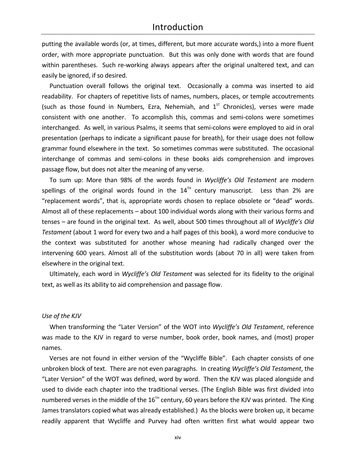putting the available words (or, at times, different, but more accurate words,) into a more fluent order, with more appropriate punctuation. But this was only done with words that are found within parentheses. Such re-working always appears after the original unaltered text, and can easily be ignored, if so desired.

Punctuation overall follows the original text. Occasionally a comma was inserted to aid readability. For chapters of repetitive lists of names, numbers, places, or temple accoutrements (such as those found in Numbers, Ezra, Nehemiah, and  $1<sup>ST</sup>$  Chronicles), verses were made consistent with one another. To accomplish this, commas and semi-colons were sometimes interchanged. As well, in various Psalms, it seems that semi‐colons were employed to aid in oral presentation (perhaps to indicate a significant pause for breath), for their usage does not follow grammar found elsewhere in the text. So sometimes commas were substituted. The occasional interchange of commas and semi‐colons in these books aids comprehension and improves passage flow, but does not alter the meaning of any verse.

 To sum up: More than 98% of the words found in *Wycliffe's Old Testament* are modern spellings of the original words found in the  $14<sup>TH</sup>$  century manuscript. Less than 2% are "replacement words", that is, appropriate words chosen to replace obsolete or "dead" words. Almost all of these replacements – about 100 individual words along with their various forms and tenses – are found in the original text. As well, about 500 times throughout all of *Wycliffe's Old Testament* (about 1 word for every two and a half pages of this book), a word more conducive to the context was substituted for another whose meaning had radically changed over the intervening 600 years. Almost all of the substitution words (about 70 in all) were taken from elsewhere in the original text.

 Ultimately, each word in *Wycliffe's Old Testament* was selected for its fidelity to the original text, as well as its ability to aid comprehension and passage flow.

#### *Use of the KJV*

 When transforming the "Later Version" of the WOT into *Wycliffe's Old Testament*, reference was made to the KJV in regard to verse number, book order, book names, and (most) proper names.

 Verses are not found in either version of the "Wycliffe Bible". Each chapter consists of one unbroken block of text. There are not even paragraphs. In creating *Wycliffe's Old Testament*, the "Later Version" of the WOT was defined, word by word. Then the KJV was placed alongside and used to divide each chapter into the traditional verses. (The English Bible was first divided into numbered verses in the middle of the  $16^{th}$  century, 60 years before the KJV was printed. The King James translators copied what was already established.) As the blocks were broken up, it became readily apparent that Wycliffe and Purvey had often written first what would appear two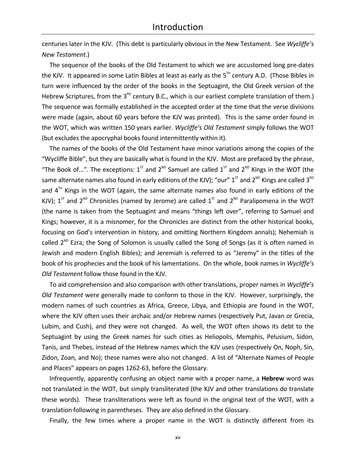centuries later in the KJV. (This debt is particularly obvious in the New Testament. See *Wycliffe's New Testament*.)

 The sequence of the books of the Old Testament to which we are accustomed long pre‐dates the KJV. It appeared in some Latin Bibles at least as early as the  $5<sup>TH</sup>$  century A.D. (Those Bibles in turn were influenced by the order of the books in the Septuagint, the Old Greek version of the Hebrew Scriptures, from the  $3<sup>RD</sup>$  century B.C., which is our earliest complete translation of them.) The sequence was formally established in the accepted order at the time that the verse divisions were made (again, about 60 years before the KJV was printed). This is the same order found in the WOT, which was written 150 years earlier. *Wycliffe's Old Testament* simply follows the WOT (but excludes the apocryphal books found intermittently within it).

 The names of the books of the Old Testament have minor variations among the copies of the "Wycliffe Bible", but they are basically what is found in the KJV. Most are prefaced by the phrase, "The Book of...". The exceptions:  $1^{ST}$  and  $2^{ND}$  Samuel are called  $1^{ST}$  and  $2^{ND}$  Kings in the WOT (the same alternate names also found in early editions of the KJV); "our"  $1^{ST}$  and  $2^{ND}$  Kings are called  $3^{RD}$ and  $4<sup>TH</sup>$  Kings in the WOT (again, the same alternate names also found in early editions of the KJV);  $1^{ST}$  and  $2^{ND}$  Chronicles (named by Jerome) are called  $1^{ST}$  and  $2^{ND}$  Paralipomena in the WOT (the name is taken from the Septuagint and means "things left over", referring to Samuel and Kings; however, it is a misnomer, for the Chronicles are distinct from the other historical books, focusing on God's intervention in history, and omitting Northern Kingdom annals); Nehemiah is called  $2^{ND}$  Ezra; the Song of Solomon is usually called the Song of Songs (as it is often named in Jewish and modern English Bibles); and Jeremiah is referred to as "Jeremy" in the titles of the book of his prophecies and the book of his lamentations. On the whole, book names in *Wycliffe's Old Testament* follow those found in the KJV.

 To aid comprehension and also comparison with other translations, proper names in *Wycliffe's Old Testament* were generally made to conform to those in the KJV. However, surprisingly, the modern names of such countries as Africa, Greece, Libya, and Ethiopia are found in the WOT, where the KJV often uses their archaic and/or Hebrew names (respectively Put, Javan or Grecia, Lubim, and Cush), and they were not changed. As well, the WOT often shows its debt to the Septuagint by using the Greek names for such cities as Heliopolis, Memphis, Pelusium, Sidon, Tanis, and Thebes, instead of the Hebrew names which the KJV uses (respectively On, Noph, Sin, Zidon, Zoan, and No); these names were also not changed. A list of "Alternate Names of People and Places" appears on pages 1262‐63, before the Glossary.

 Infrequently, apparently confusing an object name with a proper name, a **Hebrew** word was not translated in the WOT, but simply transliterated (the KJV and other translations do translate these words). These transliterations were left as found in the original text of the WOT, with a translation following in parentheses. They are also defined in the Glossary.

Finally, the few times where a proper name in the WOT is distinctly different from its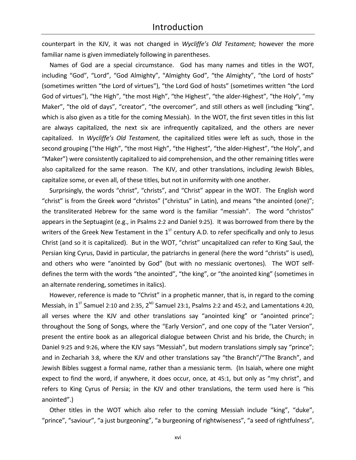counterpart in the KJV, it was not changed in *Wycliffe's Old Testament*; however the more familiar name is given immediately following in parentheses.

 Names of God are a special circumstance. God has many names and titles in the WOT, including "God", "Lord", "God Almighty", "Almighty God", "the Almighty", "the Lord of hosts" (sometimes written "the Lord of virtues"), "the Lord God of hosts" (sometimes written "the Lord God of virtues"), "the High", "the most High", "the Highest", "the alder-Highest", "the Holy", "my Maker", "the old of days", "creator", "the overcomer", and still others as well (including "king", which is also given as a title for the coming Messiah). In the WOT, the first seven titles in this list are always capitalized, the next six are infrequently capitalized, and the others are never capitalized. In *Wycliffe's Old Testament*, the capitalized titles were left as such, those in the second grouping ("the High", "the most High", "the Highest", "the alder-Highest", "the Holy", and "Maker") were consistently capitalized to aid comprehension, and the other remaining titles were also capitalized for the same reason. The KJV, and other translations, including Jewish Bibles, capitalize some, or even all, of these titles, but not in uniformity with one another.

 Surprisingly, the words "christ", "christs", and "Christ" appear in the WOT. The English word "christ" is from the Greek word "christos" ("christus" in Latin), and means "the anointed (one)"; the transliterated Hebrew for the same word is the familiar "messiah". The word "christos" appears in the Septuagint (e.g., in Psalms 2:2 and Daniel 9:25). It was borrowed from there by the writers of the Greek New Testament in the  $1<sup>ST</sup>$  century A.D. to refer specifically and only to Jesus Christ (and so it is capitalized). But in the WOT, "christ" uncapitalized can refer to King Saul, the Persian king Cyrus, David in particular, the patriarchs in general (here the word "christs" is used), and others who were "anointed by God" (but with no messianic overtones). The WOT selfdefines the term with the words "the anointed", "the king", or "the anointed king" (sometimes in an alternate rendering, sometimes in italics).

 However, reference is made to "Christ" in a prophetic manner, that is, in regard to the coming Messiah, in  $1^{ST}$  Samuel 2:10 and 2:35,  $2^{ND}$  Samuel 23:1, Psalms 2:2 and 45:2, and Lamentations 4:20, all verses where the KJV and other translations say "anointed king" or "anointed prince"; throughout the Song of Songs, where the "Early Version", and one copy of the "Later Version", present the entire book as an allegorical dialogue between Christ and his bride, the Church; in Daniel 9:25 and 9:26, where the KJV says "Messiah", but modern translations simply say "prince"; and in Zechariah 3:8, where the KJV and other translations say "the Branch"/"The Branch", and Jewish Bibles suggest a formal name, rather than a messianic term. (In Isaiah, where one might expect to find the word, if anywhere, it does occur, once, at 45:1, but only as "my christ", and refers to King Cyrus of Persia; in the KJV and other translations, the term used here is "his anointed".)

 Other titles in the WOT which also refer to the coming Messiah include "king", "duke", "prince", "saviour", "a just burgeoning", "a burgeoning of rightwiseness", "a seed of rightfulness",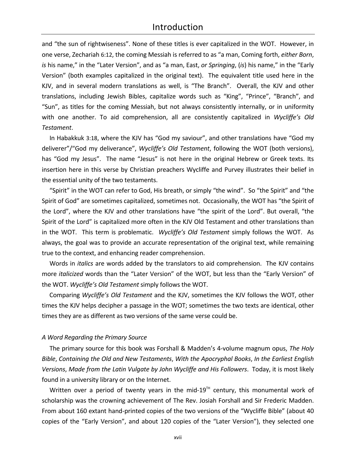and "the sun of rightwiseness". None of these titles is ever capitalized in the WOT. However, in one verse, Zechariah 6:12, the coming Messiah is referred to as "a man, Coming forth, *either Born*, *is* his name," in the "Later Version", and as "a man, East, *or Springing*, (*is*) his name," in the "Early Version" (both examples capitalized in the original text). The equivalent title used here in the KJV, and in several modern translations as well, is "The Branch". Overall, the KJV and other translations, including Jewish Bibles, capitalize words such as "King", "Prince", "Branch", and "Sun", as titles for the coming Messiah, but not always consistently internally, or in uniformity with one another. To aid comprehension, all are consistently capitalized in *Wycliffe's Old Testament*.

 In Habakkuk 3:18, where the KJV has "God my saviour", and other translations have "God my deliverer"/"God my deliverance", *Wycliffe's Old Testament*, following the WOT (both versions), has "God my Jesus". The name "Jesus" is not here in the original Hebrew or Greek texts. Its insertion here in this verse by Christian preachers Wycliffe and Purvey illustrates their belief in the essential unity of the two testaments.

 "Spirit" in the WOT can refer to God, His breath, or simply "the wind". So "the Spirit" and "the Spirit of God" are sometimes capitalized, sometimes not. Occasionally, the WOT has "the Spirit of the Lord", where the KJV and other translations have "the spirit of the Lord". But overall, "the Spirit of the Lord" is capitalized more often in the KJV Old Testament and other translations than in the WOT. This term is problematic. *Wycliffe's Old Testament* simply follows the WOT. As always, the goal was to provide an accurate representation of the original text, while remaining true to the context, and enhancing reader comprehension.

 Words in *italics* are words added by the translators to aid comprehension. The KJV contains more *italicized* words than the "Later Version" of the WOT, but less than the "Early Version" of the WOT. *Wycliffe's Old Testament* simply follows the WOT.

 Comparing *Wycliffe's Old Testament* and the KJV, sometimes the KJV follows the WOT, other times the KJV helps decipher a passage in the WOT; sometimes the two texts are identical, other times they are as different as two versions of the same verse could be.

#### *A Word Regarding the Primary Source*

 The primary source for this book was Forshall & Madden's 4‐volume magnum opus, *The Holy Bible*, *Containing the Old and New Testaments*, *With the Apocryphal Books*, *In the Earliest English Versions*, *Made from the Latin Vulgate by John Wycliffe and His Followers*. Today, it is most likely found in a university library or on the Internet.

Written over a period of twenty years in the mid-19<sup>TH</sup> century, this monumental work of scholarship was the crowning achievement of The Rev. Josiah Forshall and Sir Frederic Madden. From about 160 extant hand‐printed copies of the two versions of the "Wycliffe Bible" (about 40 copies of the "Early Version", and about 120 copies of the "Later Version"), they selected one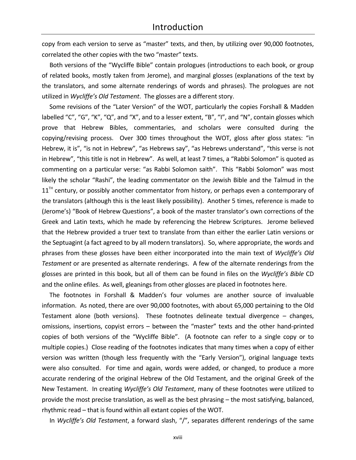copy from each version to serve as "master" texts, and then, by utilizing over 90,000 footnotes, correlated the other copies with the two "master" texts.

 Both versions of the "Wycliffe Bible" contain prologues (introductions to each book, or group of related books, mostly taken from Jerome), and marginal glosses (explanations of the text by the translators, and some alternate renderings of words and phrases). The prologues are not utilized in *Wycliffe's Old Testament*. The glosses are a different story.

 Some revisions of the "Later Version" of the WOT, particularly the copies Forshall & Madden labelled "C", "G", "K", "Q", and "X", and to a lesser extent, "B", "I", and "N", contain glosses which prove that Hebrew Bibles, commentaries, and scholars were consulted during the copying/revising process. Over 300 times throughout the WOT, gloss after gloss states: "in Hebrew, it is", "is not in Hebrew", "as Hebrews say", "as Hebrews understand", "this verse is not in Hebrew", "this title is not in Hebrew". As well, at least 7 times, a "Rabbi Solomon" is quoted as commenting on a particular verse: "as Rabbi Solomon saith". This "Rabbi Solomon" was most likely the scholar "Rashi", the leading commentator on the Jewish Bible and the Talmud in the  $11<sup>TH</sup>$  century, or possibly another commentator from history, or perhaps even a contemporary of the translators (although this is the least likely possibility). Another 5 times, reference is made to (Jerome's) "Book of Hebrew Questions", a book of the master translator's own corrections of the Greek and Latin texts, which he made by referencing the Hebrew Scriptures. Jerome believed that the Hebrew provided a truer text to translate from than either the earlier Latin versions or the Septuagint (a fact agreed to by all modern translators). So, where appropriate, the words and phrases from these glosses have been either incorporated into the main text of *Wycliffe's Old Testament* or are presented as alternate renderings. A few of the alternate renderings from the glosses are printed in this book, but all of them can be found in files on the *Wycliffe's Bible* CD and the online efiles. As well, gleanings from other glosses are placed in footnotes here.

 The footnotes in Forshall & Madden's four volumes are another source of invaluable information. As noted, there are over 90,000 footnotes, with about 65,000 pertaining to the Old Testament alone (both versions). These footnotes delineate textual divergence – changes, omissions, insertions, copyist errors – between the "master" texts and the other hand‐printed copies of both versions of the "Wycliffe Bible". (A footnote can refer to a single copy or to multiple copies.) Close reading of the footnotes indicates that many times when a copy of either version was written (though less frequently with the "Early Version"), original language texts were also consulted. For time and again, words were added, or changed, to produce a more accurate rendering of the original Hebrew of the Old Testament, and the original Greek of the New Testament. In creating *Wycliffe's Old Testament*, many of these footnotes were utilized to provide the most precise translation, as well as the best phrasing – the most satisfying, balanced, rhythmic read – that is found within all extant copies of the WOT.

In *Wycliffe's Old Testament*, a forward slash, "/", separates different renderings of the same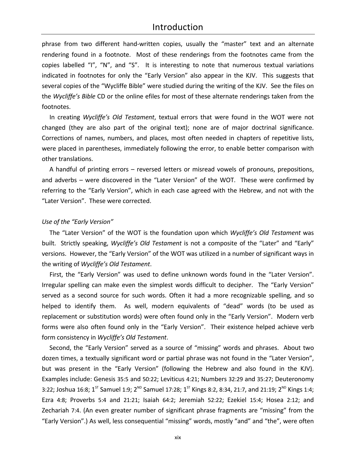phrase from two different hand-written copies, usually the "master" text and an alternate rendering found in a footnote. Most of these renderings from the footnotes came from the copies labelled "I", "N", and "S". It is interesting to note that numerous textual variations indicated in footnotes for only the "Early Version" also appear in the KJV. This suggests that several copies of the "Wycliffe Bible" were studied during the writing of the KJV. See the files on the *Wycliffe's Bible* CD or the online efiles for most of these alternate renderings taken from the footnotes.

 In creating *Wycliffe's Old Testament*, textual errors that were found in the WOT were not changed (they are also part of the original text); none are of major doctrinal significance. Corrections of names, numbers, and places, most often needed in chapters of repetitive lists, were placed in parentheses, immediately following the error, to enable better comparison with other translations.

 A handful of printing errors – reversed letters or misread vowels of pronouns, prepositions, and adverbs – were discovered in the "Later Version" of the WOT. These were confirmed by referring to the "Early Version", which in each case agreed with the Hebrew, and not with the "Later Version". These were corrected.

#### *Use of the "Early Version"*

 The "Later Version" of the WOT is the foundation upon which *Wycliffe's Old Testament* was built. Strictly speaking, *Wycliffe's Old Testament* is not a composite of the "Later" and "Early" versions. However, the "Early Version" of the WOT was utilized in a number of significant ways in the writing of *Wycliffe's Old Testament*.

 First, the "Early Version" was used to define unknown words found in the "Later Version". Irregular spelling can make even the simplest words difficult to decipher. The "Early Version" served as a second source for such words. Often it had a more recognizable spelling, and so helped to identify them. As well, modern equivalents of "dead" words (to be used as replacement or substitution words) were often found only in the "Early Version". Modern verb forms were also often found only in the "Early Version". Their existence helped achieve verb form consistency in *Wycliffe's Old Testament*.

 Second, the "Early Version" served as a source of "missing" words and phrases. About two dozen times, a textually significant word or partial phrase was not found in the "Later Version", but was present in the "Early Version" (following the Hebrew and also found in the KJV). Examples include: Genesis 35:5 and 50:22; Leviticus 4:21; Numbers 32:29 and 35:27; Deuteronomy 3:22; Joshua 16:8; 1<sup>ST</sup> Samuel 1:9; 2<sup>ND</sup> Samuel 17:28; 1<sup>ST</sup> Kings 8:2, 8:34, 21:7, and 21:19; 2<sup>ND</sup> Kings 1:4; Ezra 4:8; Proverbs 5:4 and 21:21; Isaiah 64:2; Jeremiah 52:22; Ezekiel 15:4; Hosea 2:12; and Zechariah 7:4. (An even greater number of significant phrase fragments are "missing" from the "Early Version".) As well, less consequential "missing" words, mostly "and" and "the", were often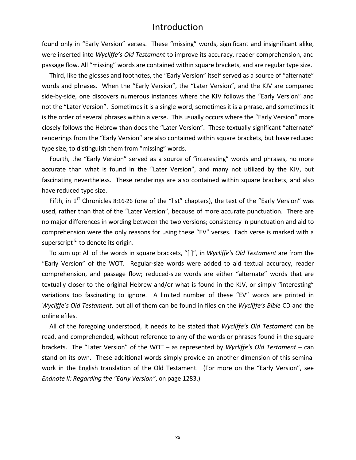found only in "Early Version" verses. These "missing" words, significant and insignificant alike, were inserted into *Wycliffe's Old Testament* to improve its accuracy, reader comprehension, and passage flow. All "missing" words are contained within square brackets, and are regular type size.

 Third, like the glosses and footnotes, the "Early Version" itself served as a source of "alternate" words and phrases. When the "Early Version", the "Later Version", and the KJV are compared side-by-side, one discovers numerous instances where the KJV follows the "Early Version" and not the "Later Version". Sometimes it is a single word, sometimes it is a phrase, and sometimes it is the order of several phrases within a verse. This usually occurs where the "Early Version" more closely follows the Hebrew than does the "Later Version". These textually significant "alternate" renderings from the "Early Version" are also contained within square brackets, but have reduced type size, to distinguish them from "missing" words.

 Fourth, the "Early Version" served as a source of "interesting" words and phrases, no more accurate than what is found in the "Later Version", and many not utilized by the KJV, but fascinating nevertheless. These renderings are also contained within square brackets, and also have reduced type size.

Fifth, in  $1^{ST}$  Chronicles 8:16-26 (one of the "list" chapters), the text of the "Early Version" was used, rather than that of the "Later Version", because of more accurate punctuation. There are no major differences in wording between the two versions; consistency in punctuation and aid to comprehension were the only reasons for using these "EV" verses. Each verse is marked with a superscript **<sup>E</sup>** to denote its origin.

 To sum up: All of the words in square brackets, "[ ]", in *Wycliffe's Old Testament* are from the "Early Version" of the WOT. Regular‐size words were added to aid textual accuracy, reader comprehension, and passage flow; reduced‐size words are either "alternate" words that are textually closer to the original Hebrew and/or what is found in the KJV, or simply "interesting" variations too fascinating to ignore. A limited number of these "EV" words are printed in *Wycliffe's Old Testament*, but all of them can be found in files on the *Wycliffe's Bible* CD and the online efiles.

 All of the foregoing understood, it needs to be stated that *Wycliffe's Old Testament* can be read, and comprehended, without reference to any of the words or phrases found in the square brackets. The "Later Version" of the WOT – as represented by *Wycliffe's Old Testament* – can stand on its own. These additional words simply provide an another dimension of this seminal work in the English translation of the Old Testament. (For more on the "Early Version", see *Endnote II: Regarding the "Early Version"*, on page 1283.)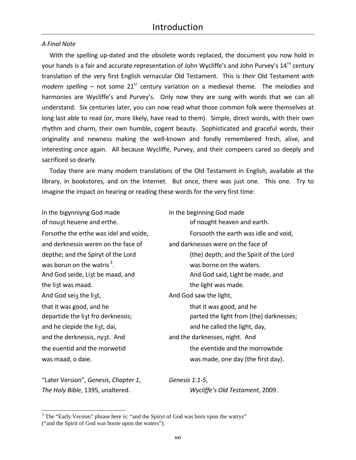#### *A Final Note*

With the spelling up-dated and the obsolete words replaced, the document you now hold in your hands is a fair and accurate representation of John Wycliffe's and John Purvey's  $14^{\text{th}}$  century translation of the very first English vernacular Old Testament. This is *their* Old Testament *with modern spelling* – not some  $21<sup>ST</sup>$  century variation on a medieval theme. The melodies and harmonies are Wycliffe's and Purvey's. Only now they are sung with words that we can all understand. Six centuries later, you can now read what those common folk were themselves at long last able to read (or, more likely, have read to them). Simple, direct words, with their own rhythm and charm, their own humble, cogent beauty. Sophisticated and graceful words, their originality and newness making the well‐known and fondly remembered fresh, alive, and interesting once again. All because Wycliffe, Purvey, and their compeers cared so deeply and sacrificed so dearly.

 Today there are many modern translations of the Old Testament in English, available at the library, in bookstores, and on the Internet. But once, there was just one. This one. Try to imagine the impact on hearing or reading these words for the very first time:

In the bigynniyng God made In the beginning God made and derknessis weren on the face of and darknesses were on the face of was borun on the watris<sup>3</sup>. the list was maad.  $\qquad \qquad$  the light was made. And God sei3 the li3t, **And God saw the light**, that it was good, and he  $\frac{1}{2}$  that it was good, and he and he clepide the li3t, dai, the same of the called the light, day, and the derknessis, ny3t. And and the darknesses, night. And

"Later Version", *Genesis*, *Chapter 1*, *Genesis 1:1‐5*,

 $\overline{a}$ 

of nou<sub>3</sub>t heuene and erthe.  $\qquad \qquad$  of nought heaven and earth. Forsothe the erthe was idel and voide, **Example 20 Forsooth the earth was idle and void**, depthe; and the Spiryt of the Lord (the) depth; and the Spirit of the Lord was borne on the waters. And God seide, Li3t be maad, and **Example 20 and Solution** And God said, Light be made, and departide the li3t fro derknessis;  $\qquad \qquad$  parted the light from (the) darknesses; the euentid and the morwetid the eventide and the morrowtide was maad, o daie. **Was madeled as a was made, one day (the first day).** Was made, one day (the first day).

*The Holy Bible*, 1395, unaltered. *Wycliffe's Old Testament*, 2009.

 $3$  The "Early Version" phrase here is: "and the Spiryt of God was born vpon the watrys" ("and the Spirit of God was borne upon the waters").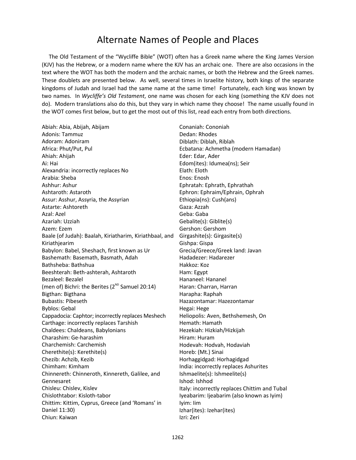# [Alternate Names of People and Places](#page-0-0)

<span id="page-18-0"></span> The Old Testament of the "Wycliffe Bible" (WOT) often has a Greek name where the King James Version (KJV) has the Hebrew, or a modern name where the KJV has an archaic one. There are also occasions in the text where the WOT has both the modern and the archaic names, or both the Hebrew and the Greek names. These doublets are presented below. As well, several times in Israelite history, both kings of the separate kingdoms of Judah and Israel had the same name at the same time! Fortunately, each king was known by two names. In *Wycliffe's Old Testament*, one name was chosen for each king (something the KJV does not do). Modern translations also do this, but they vary in which name they choose! The name usually found in the WOT comes first below, but to get the most out of this list, read each entry from both directions.

Abiah: Abia, Abijah, Abijam Adonis: Tammuz Adoram: Adoniram Africa: Phut/Put, Pul Ahiah: Ahijah Ai: Hai Alexandria: incorrectly replaces No Arabia: Sheba Ashhur: Ashur Ashtaroth: Astaroth Assur: Asshur, Assyria, the Assyrian Astarte: Ashtoreth Azal: Azel Azariah: Uzziah Azem: Ezem Baale (of Judah): Baalah, Kiriatharim, Kiriathbaal, and Kiriathjearim Babylon: Babel, Sheshach, first known as Ur Bashemath: Basemath, Basmath, Adah Bathsheba: Bathshua Beeshterah: Beth-ashterah, Ashtaroth Bezaleel: Bezalel (men of) Bichri: the Berites ( $2^{ND}$  Samuel 20:14) Bigthan: Bigthana Bubastis: Pibeseth Byblos: Gebal Cappadocia: Caphtor; incorrectly replaces Meshech Carthage: incorrectly replaces Tarshish Chaldees: Chaldeans, Babylonians Charashim: Ge-harashim Charchemish: Carchemish Cherethite(s): Kerethite(s) Chezib: Achzib, Kezib Chimham: Kimham Chinnereth: Chinneroth, Kinnereth, Galilee, and Gennesaret Chisleu: Chislev, Kislev Chislothtabor: Kisloth-tabor Chittim: Kittim, Cyprus, Greece (and 'Romans' in Daniel 11:30) Chiun: Kaiwan

Conaniah: Cononiah Dedan: Rhodes Diblath: Diblah, Riblah Ecbatana: Achmetha (modern Hamadan) Eder: Edar, Ader Edom(ites): Idumea(ns); Seir Elath: Eloth Enos: Enosh Ephratah: Ephrath, Ephrathah Ephron: Ephraim/Ephrain, Ophrah Ethiopia(ns): Cush(ans) Gaza: Azzah Geba: Gaba Gebalite(s): Giblite(s) Gershon: Gershom Girgashite(s): Girgasite(s) Gishpa: Gispa Grecia/Greece/Greek land: Javan Hadadezer: Hadarezer Hakkoz: Koz Ham: Egypt Hananeel: Hananel Haran: Charran, Harran Harapha: Raphah Hazazontamar: Hazezontamar Hegai: Hege Heliopolis: Aven, Bethshemesh, On Hemath: Hamath Hezekiah: Hizkiah/Hizkijah Hiram: Huram Hodevah: Hodvah, Hodaviah Horeb: (Mt.) Sinai Horhaggidgad: Horhagidgad India: incorrectly replaces Ashurites Ishmaelite(s): Ishmeelite(s) Ishod: Ishhod Italy: incorrectly replaces Chittim and Tubal Iyeabarim: Ijeabarim (also known as Iyim) Iyim: Iim Izhar(ites): Izehar(ites) Izri: Zeri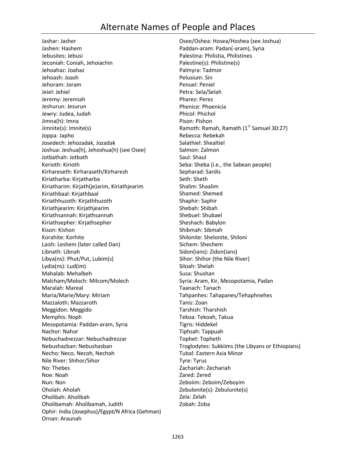# Alternate Names of People and Places

Jashar: Jasher Jashen: Hashem Jebusites: Jebusi Jeconiah: Coniah, Jehoiachin Jehoahaz: Joahaz Jehoash: Joash Jehoram: Joram Jeiel: Jehiel Jeremy: Jeremiah Jeshurun: Jesurun Jewry: Judea, Judah Jimna(h): Imna Jimnite(s): Imnite(s) Joppa: Japho Josedech: Jehozadak, Jozadak Joshua: Jeshua(h), Jehoshua(h) (see Osee) Jotbathah: Jotbath Kerioth: Kirioth Kirhareseth: Kirharaseth/Kirharesh Kiriatharba: Kirjatharba Kiriatharim: Kirjath(je)arim, Kiriathjearim Kiriathbaal: Kirjathbaal Kiriathhuzoth: Kirjathhuzoth Kiriathjearim: Kirjathjearim Kiriathsannah: Kirjathsannah Kiriathsepher: Kirjathsepher Kison: Kishon Korahite: Korhite Laish: Leshem (later called Dan) Libnath: Libnah Libya(ns): Phut/Put, Lubim(s) Lydia(ns): Lud(im) Mahalab: Mehalbeh Malcham/Moloch: Milcom/Molech Maralah: Mareal Maria/Marie/Mary: Miriam Mazzaloth: Mazzaroth Meggidon: Meggido Memphis: Noph Mesopotamia: Paddan-aram, Syria Nachor: Nahor Nebuchadnezzar: Nebuchadrezzar Nebushazban: Nebushasban Necho: Neco, Necoh, Nechoh Nile River: Shihor/Sihor No: Thebes Noe: Noah Nun: Non Oholah: Aholah Oholibah: Aholibah Oholibamah: Aholibamah, Judith Ophir: India (Josephus)/Egypt/N Africa (Gehman) Ornan: Araunah

Osee/Oshea: Hosea/Hoshea (see Joshua) Paddan-aram: Padan(-aram), Syria Palestina: Philistia, Philistines Palestine(s): Philistine(s) Palmyra: Tadmor Pelusium: Sin Penuel: Peniel Petra: Sela/Selah Pharez: Perez Phenice: Phoenicia Phicol: Phichol Pison: Pishon Ramoth: Ramah, Ramath  $(1<sup>ST</sup>$  Samuel 30:27) Rebecca: Rebekah Salathiel: Shealtiel Salmon: Zalmon Saul: Shaul Seba: Sheba (i.e., the Sabean people) Sepharad: Sardis Seth: Sheth Shalim: Shaalim Shamed: Shemed Shaphir: Saphir Shebah: Shibah Shebuel: Shubael Sheshach: Babylon Shibmah: Sibmah Shilonite: Shelonite, Shiloni Sichem: Shechem Sidon(ians): Zidon(ians) Sihor: Shihor (the Nile River) Siloah: Shelah Susa: Shushan Syria: Aram, Kir, Mesopotamia, Padan Taanach: Tanach Tahpanhes: Tahapanes/Tehaphnehes Tanis: Zoan Tarshish: Tharshish Tekoa: Tekoah, Takua Tigris: Hiddekel Tiphsah: Tappuah Tophet: Topheth Troglodytes: Sukkiims (the Libyans or Ethiopians) Tubal: Eastern Asia Minor Tyre: Tyrus Zachariah: Zechariah Zared: Zered Zeboiim: Zeboim/Zeboyim Zebulonite(s): Zebulunite(s) Zela: Zelah Zobah: Zoba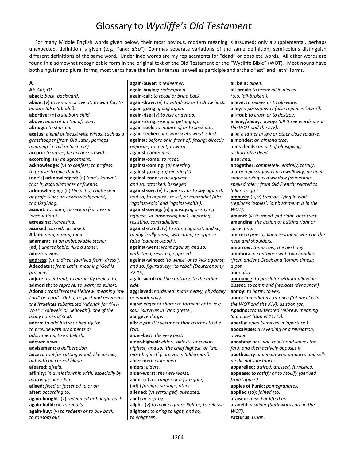# Glossary to *[Wycliffe's Old Testament](#page-0-0)*

<span id="page-20-0"></span> For many Middle English words given below, their most obvious, modern meaning is assumed; only a supplemental, perhaps unexpected, definition is given (e*.*g*.*, "and: *also*")*.* Commas separate variations of the same definition; semi-colons distinguish different definitions of the same word*.* Underlined words are my replacements for "dead" or obsolete words*.* All other words are found in a somewhat recognizable form in the original text of the Old Testament of the "Wycliffe Bible" (WOT)*.* Most nouns have both singular and plural forms; most verbs have the familiar tenses, as well as participle and archaic "est" and "eth" forms*.*

#### **A**

**A!:** *Ah!; O!* **aback:** *back, backward.* **abide:** (v) *to remain or live at; to wait for; to endure (also 'abode').* **abortive:** (n) *a stillborn child.* **above:** *upon or on top of; over.* **abridge:** *to shorten.* **acatus:** *a kind of locust with wings, such as a grasshopper (from Old Latin, perhaps meaning 'a sail' or 'a spine').* **accord:** *to agree, be in concord with.* **according:** (n) *an agreement.* **acknowledge:** (v) *to confess; to profess; to praise; to give thanks.* **(one's) acknowledged:** (n) *'one's known', that is, acquaintances or friends.* **acknowledging:** (n) *the act of confession or profession; an acknowledgement; thanksgiving.* **acount:** *to count; to reckon (survives in 'accounting').* **acreasing:** *increasing.* **acursed:** *cursed; accursed.* **Adam:** *man; a man; men.* **adamant:** (n) *an unbreakable stone;*  (adj.) *unbreakable, 'like a stone'.* **adder:** *a viper.* **address :** (v) *to direct (derived from 'dress').* **Adeodatus:** *from Latin, meaning 'God is gracious'.* **adjure:** *to entreat, to earnestly appeal to.* **admonish:** *to reprove; to warn; to exhort.* **Adonai:** *transliterated Hebrew, meaning 'my Lord' or 'Lord'. Out of respect and reverence, the Israelites substituted 'Adonai' for 'Y-H-W-H' ('Yahweh' or 'Jehovah'), one of the many names of God.* **adorn:** *to add lustre or beauty to; to provide with ornaments or adornments, to embellish.* **adown:** *down.* **advisement:** *a deliberation.* **adze:** *a tool for cutting wood, like an axe, but with an curved blade.* **afeared:** *afraid.* **affinity:** *in a relationship with, especially by marriage; one's kin.* **afixed:** *fixed or fastened to or on.* **after:** *according to.* **again-bought:** (v) *redeemed or bought back.* **again-build:** (v) *to rebuild.* **again-buy:** (v) *to redeem or to buy back; to ransom out. side. feet.*

**again-buyer:** *a redeemer.* **again-buying:** *redemption.* **again-call:** *to recall or bring back.* **again-draw:** (v) *to withdraw or to draw back.* **again-going:** *going again.* **again-rise:** (v) *to rise or get up.*  **again-rising:** *rising or getting up.* **again-seek:** *to inquire of or to seek out.* **again-seeker:** *one who seeks what is lost.* **against:** *before or in front of; facing; directly opposite; to meet; towards.* **against-came:** *met.* **against-come:** *to meet.* **against-coming:** *(a) meeting.* **against-going:** *(a) meeting(!).* **against-rode:** *rode against, and so, attacked, besieged.* **against-say:** (v) *to gainsay or to say against, and so, to oppose, resist, or contradict (also 'against-said' and 'against-saith').* **against-saying:** (n) *gainsaying or saying against, so, answering back, opposing, resisting, contradicting.* **against-stand:** (v) *to stand against, and so, to physically resist, withstand, or oppose (also 'against-stood').* **against-went:** *went against, and so, withstood, resisted, opposed.* **against-winced:** *'to wince' or to kick against, and so, figuratively, 'to rebel' (Deuteronomy 32:15).* **again-ward:** *on the contrary; to the other*  **aggrieved:** *hardened; made heavy, physically or emotionally.* **aigre:** *eager or sharp; to torment or to vex; sour (survives in 'vinaigrette').* **alarge:** *enlarge.* **alb:** *a priestly vestment that reaches to the*  **alder-best:** *the very best.* **alder-highest:** *elder-, oldest-, or seniorhighest, and so, 'the chief highest' or 'the most highest' (survives in 'alderman').* **alder men:** *elder men.* **alders:** *elders.* **alder-worst:** *the very worst.* **alien:** (n) *a stranger or a foreigner;*  (adj.) *foreign; strange; other.* **aliened:** (v) *estranged, alienated.* **aliet:** *an osprey.* **alight:** (v) *to make light or lighter; to release.* **alighten:** *to bring to light, and so, to enlighten.*

**all be it:** *albeit.* **all-break:** *to break all in pieces (*p.p. *'all-broken').* **alleve:** *to relieve or to alleviate.* **alley:** *a passageway (also replaces 'alure').* **all-foul:** *to crush or to destroy.* **allway/alway:** *always (all three words are in the WOT and the KJV).* **ally:** *a father in law or other close relative.* **almonder:** *an almond tree.* **alms-deeds:** *an act of almsgiving, a charitable deed.* **also:** *and.* **altogether:** *completely, entirely, totally.* **alure:** *a passageway or a walkway; an open space serving as a window (sometimes spelled 'aler'; from Old French; related to 'aller: to go').* **ambush :** (n, v) *treason, lying in wait*  **amend:** (v) *to mend, put right, or correct. (replaces 'aspies'; 'ambushment' is in the WOT).* **amending:** *the action of putting right or correcting.* **amice:** *a priestly linen vestment worn on the neck and shoulders.* **amorrow:** *tomorrow, the next day.* **amphora:** *a container with two handles (from ancient Greek and Roman times); a pot.* **and:** *also.* **announce :** *to proclaim without allowing*  **annoy:** *to harm; to vex. dissent, to command (replaces 'denounce').* **anon:** *immediately, at once ('at once' is in the WOT and the KJV); as soon (as).* **Apadno:** *transliterated Hebrew, meaning 'a palace' (Daniel 11:45).* **apertly:** *open (survives in 'aperture').* **apocalypse:** *a revealing or a revelation; a vision.* **apostate:** *one who rebels and leaves the faith and then actively opposes it.* **apothecary:** *a person who prepares and sells medicinal substances.* **apparelled:** *attired, dressed, furnished.* **appease :** *to satisfy or to mollify (derived*  **apples of Punic:** *pomegranates. from 'apaie').* **applied (to):** *joined (to).* **araised:** *raised or lifted up.* **araneid:** *a spider (both words are in the WOT).* **Arcturus:** *Orion.*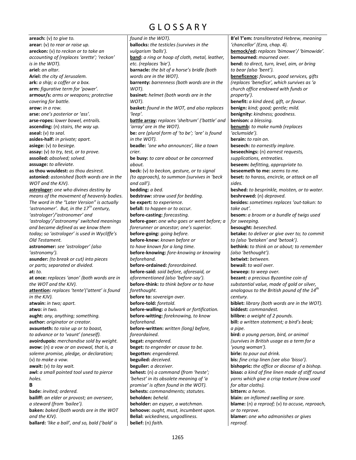**areach:** (v) *to give to.* **arear:** (v) *to rear or raise up.* **areckon:** (v) *to reckon or to take an accounting of (replaces 'arette'; 'reckon' is in the WOT).* **ariel:** *an altar.* **Ariel:** *the city of Jerusalem.* **ark:** *a ship; a coffer or a box.* **arm:** *figurative term for 'power'.* **armour/s:** *arms or weapons; protective covering for battle.* **arow:** *in a row.* **arse:** *one's posterior or 'ass'.* **arse-ropes:** *lower bowel, entrails.* **ascending:** (n) *stairs, the way up.* **aseal:** (v) *to seal.* **asides-half:** *in private; apart.* **asiege:** (v) *to besiege.* **assay:** (v) *to try, test, or to prove.* **assoiled:** *absolved; solved.* **assuage:** *to alleviate.* **as thou wouldest:** *as thou desirest.* **astonied:** *astonished (both words are in the WOT and the KJV).* **astrologer :** *one who divines destiny by*  **astronomer:** *see 'astrologer' (also 'astronomy'). means of the movement of heavenly bodies. The word in the "Later Version" is actually 'astronomer'. But, in the 17TH century, 'astrologer'/'astronomer' and 'astrology'/'astronomy' switched meanings and became defined as we know them today; so 'astrologer' is used in Wycliffe's Old Testament.* **asunder:** *(to break or cut) into pieces or parts; separated or divided.* **at:** *to.* **at once:** *replaces 'anon' (both words are in the WOT and the KJV).* **attention :** *replaces 'tente'('attent' is found*  **atwain:** *in two; apart. in the KJV).* **atwo:** *in two.* **aught:** *any, anything; something.* **author:** *originator or creator.* **avaunteth:** *to raise up or to boast, to advance or to 'vaunt' (oneself).* **avoirdupois:** *merchandise sold by weight.* **avow:** (n) *a vow or an avowal, that is, a solemn promise, pledge, or declaration;* (v) *to make a vow.*  **await:** (v) *to lay wait.* **awl:** *a small pointed tool used to pierce holes.* **B bade:** *invited; ordered.* **bailiff:** *an elder or provost; an overseer, a steward (from 'bailee').* **baken:** *baked (both words are in the WOT and the KJV).*

**ballard:** *'like a ball', and so, bald ('bald' is* 

*found in the WOT).* **ballocks:** *the testicles (survives in the vulgarism 'balls').* **band :** *a ring or hoop of cloth, metal, leather,*  **barnacle:** *the bit of a horse's bridle (both words are in the WOT). etc. (replaces 'bie').* **barrenty:** *barrenness (both words are in the WOT).* **basinet:** *helmet (both words are in the WOT).* **basket:** *found in the WOT, and also replaces 'leep'.* **battle array :** *replaces 'sheltrum' ('battle' and*  **be:** *are (plural form of 'to be'; 'are' is found in the WOT). 'array' are in the WOT).* **beadle:** *'one who announces', like a town crier.* **be busy:** *to care about or be concerned about.* **beck:** (v) *to beckon, gesture, or to signal (to approach), to summon (survives in 'beck and call').* **bedding:** *a bed.* **bedstraw:** *straw used for bedding.* **be expert:** *to experience.* **befall:** *to happen or to occur.* **before-casting:** *forecasting.* **before-goer:** *one who goes or went before; a forerunner or ancestor; one's superior.* **before-going:** *going before.* **before-knew:** *known before or to have known for a long time.* **before-knowing:** *fore-knowing or knowing beforehand.* **before-ordained:** *foreordained.* **before-said:** *said before, aforesaid, or aforementioned (also 'before-say').* **before-think:** *to think before or to have forethought.* **before to:** *sovereign over.* **before-told:** *foretold.* **before-walling:** *a bulwark or fortification.* **before-witting:** *foreknowing, to know beforehand.* **before-written:** *written (long) before, foreordained.* **begat:** *engendered.* **beget:** *to engender or cause to be.* **begotten:** *engendered.* **beguiled:** *deceived.* **beguiler:** *a deceiver.* **behest:** (n) *a command (from 'heste'; 'behest' in its obsolete meaning of 'a promise' is often found in the WOT).* **behests:** *commandments; statutes.* **beholden:** *beheld.* **beholder:** *an espyer, a watchman.* **behoove:** *ought, must, incumbent upon.* **Belial:** *wickedness, ungodliness.* **belief:** (n) *faith.*

**B'el T'em:** *transliterated Hebrew, meaning 'chancellor' (Ezra, chap. 4).* **bemock/ed :** *replaces 'bimowe'/ 'bimowide'.* **bemourned:** *mourned over.* **bend:** *to direct, turn, level, aim, or bring to bear (also 'bent').* **beneficence :** *favours, good services, gifts*  **benefit:** *a kind deed, gift, or favour. (replaces 'benefice', which survives as 'a church office endowed with funds or property').* **benign:** *kind; good; gentle; mild.* **benignity:** *kindness; goodness.* **benison:** *a blessing.* **benumb :** *to make numb (replaces*  **berain:** *to rain on. 'aclumside').* **beseech:** *to earnestly implore.* **beseechings:** (n) *earnest requests, supplications, entreaties.* **beseem:** *befitting, appropriate to.* **beseemeth to me:** *seems to me.* **beset:** *to harass, encircle, or attack on all sides.* **beshed:** *to besprinkle, moisten, or to water.* **beshrewed:** (n) *depraved.* **besides:** *sometimes replaces 'out-takun: to take out'.* **besom:** *a broom or a bundle of twigs used for sweeping.* **besought:** *beseeched.* **betake:** *to deliver or give over to; to commit to (also 'betaken' and 'betook').* **bethink:** *to think on or about; to remember (also 'bethought').* **betwixt:** *between.* **bewail:** *to wail over.* **beweep:** *to weep over.* **bezant:** *a precious Byzantine coin of substantial value, made of gold or silver, analogous to the British pound of the 14th century.*  **biblet:** *library (both words are in the WOT).* **biddest:** *commandest.* **bilibre:** *a weight of 2 pounds.* **bill:** *a written statement; a bird's beak; a pipe.* **bird:** *a young person, bird, or animal (survives in British usage as a term for a 'young woman').* **birle:** *to pour out drink.* **bis:** *fine crisp linen (see also 'bisso').* **bishopric:** *the office or diocese of a bishop.*  **bisso:** *a kind of fine linen made of stiff round yarns which give a crisp texture (now used for altar cloths).* **bittern:** *a heron.* **blain:** *an inflamed swelling or sore.* **blame:** (n) *a reproof;* (v) *to accuse, reproach, or to reprove.* **blamer:** *one who admonishes or gives reproof.*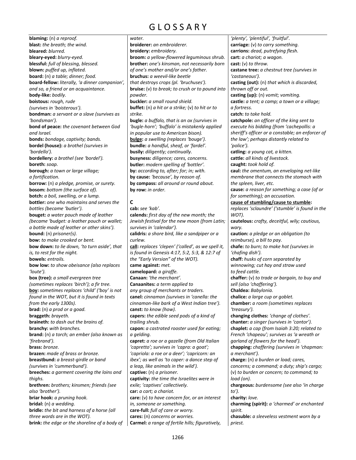**blaming:** (n) *a reproof.* **blast:** *the breath; the wind.* **bleared:** *blurred.* **bleary-eyed:** *blurry-eyed.* **blessful:** *full of blessing, blessed.* **blown:** *puffed up, inflated.* **board:** (n) *a table; dinner; food.* **board-fellow:** *literally, 'a dinner companion', and so, a friend or an acquaintance.* **body-like:** *bodily.* **boistous:** *rough, rude (survives in 'boisterous').* **bondman:** *a servant or a slave (survives as 'bondsman').* **bond of peace:** *the covenant between God and Israel.* **bonds:** *bondage, captivity; bands.* **bordel (house):** *a brothel (survives in 'bordello').* **bordellery:** *a brothel (see 'bordel').* **boreth:** *soap.* **borough:** *a town or large village; a fortification.* **borrow:** (n) *a pledge, promise, or surety.* **bosom:** *bottom (the surface of).* **botch:** *a boil, swelling, or a lump.* **bottler:** *one who maintains and serves the bottles (became 'butler').* **bouget:** *a water pouch made of leather (became 'budget: a leather pouch or wallet; a bottle made of leather or other skins').* **bound:** (n) *prisoner(s).* **bow:** *to make crooked or bent.* **bow down:** *to lie down, 'to turn aside', that is, to rest for the night.* **bowels:** *entrails.* **bow low:** *to show obeisance (also replaces 'loute').* **box (tree):** *a small evergreen tree (sometimes replaces 'birch'); a fir tree.* **boy :** *sometimes replaces 'child' ('boy' is not*  **brad:** (n) *a prod or a goad. found in the WOT, but it is found in texts from the early 1300s).* **braggeth:** *brayeth.* **braineth:** *to dash out the brains of.* **branchy:** *with branches.* **brand:** (n) *a torch; an ember (also known as 'firebrand').* **brass:** *bronze.* **brazen:** *made of brass or bronze.* **breastbund:** *a breast-girdle or band (survives in 'cummerbund').* **breeches:** *a garment covering the loins and thighs.* **brethren:** *brothers; kinsmen; friends (see also 'brother').*  **briar hook:** *a pruning hook.* **bridal:** (n) *a wedding.* **bridle:** *the bit and harness of a horse (all three words are in the WOT).* **brink:** *the edge or the shoreline of a body of water. strike.* **C Carmel:** *a range of fertile hills; figuratively,* 

**broiderer:** *an embroiderer.* **broidery:** *embroidery.* **broom:** *a yellow-flowered leguminous shrub.* **brother:** *one's kinsman, not necessarily born of one's mother and/or one's father.* **bruchus:** *a weevil-like beetle that destroys crops (pl. 'bruchuses').* **bruise:** (v) *to break; to crush or to pound into powder.* **buckler:** *a small round shield.* **buffet:** (n) *a hit or a strike;* (v) *to hit or to*  **bugle:** *a buffalo, that is an ox (survives in 'bugle-horn'; 'buffalo' is mistakenly applied in popular use to American bison).* **bulge :** *a swelling (replaces 'bouge').* **bundle:** *a handful, sheaf, or 'fardel'.* **busily:** *diligently; continually.* **busyness:** *diligence; cares, concerns.* **butler:** *modern spelling of 'bottler'.* **by:** *according to, after; for; in; with.* **by cause:** *'because', by reason of.* **by compass:** *all around or round about.* **by row:** *in order.* **cab:** *see 'kab'.* **calends:** *first day of the new month; the Jewish festival for the new moon (from Latin; survives in 'calendar').* **calidris:** *a shore bird, like a sandpiper or a curlew.* **call :** *replaces 'clepen' ('called', as we spell it,*  **came against:** *met. is found in Genesis 4:17, 5:2, 5:3, & 12:7 of the "Early Version" of the WOT).* **camelopard:** *a giraffe.* **Canaan:** *'the merchant'.* **Canaanites:** *a term applied to any group of merchants or traders.* **canel:** *cinnamon (survives in 'canella: the cinnamon-like bark of a West Indian tree').* **canst:** *to know (how).* **capers:** *the edible seed pods of a kind of trailing shrub.* **capon:** *a castrated rooster used for eating; a gelding.* **capret:** *a roe or a gazelle (from Old Italian 'capretto'; survives in 'capra: a goat'; 'capriola: a roe or a deer'; 'capricorn: an ibex'; as well as 'to caper: a dance step of a leap, like animals in the wild').* **captive:** (n) *a prisoner.* **captivity:** *the time the Israelites were in exile; 'captives' collectively.* **car:** *a cart; a chariot.* **care:** (v) *to have concern for, or an interest in, someone or something.* **care-full:** *full of care or worry.* **cares:** (n) *concerns or worries.*

*'plenty', 'plentiful', 'fruitful'.* **carriage:** (v) *to carry something.*  **carrions:** *dead, putrefying flesh.* **cart:** *a chariot; a wagon.* **cast:** (v) *to throw.* **castane tree:** *a chestnut tree (survives in 'castaneous').* **casting (out):** (n) *that which is discarded, thrown off or out.* **casting (up):** (n) *vomit; vomiting.* **castle:** *a tent; a camp; a town or a village; a fortress.* **catch:** *to take hold.* **catchpole:** *an officer of the king sent to execute his bidding (from 'cachepollis: a sheriff's officer or a constable; an enforcer of the law'; perhaps distantly related to 'police').* **catling:** *a young cat, a kitten.* **cattle:** *all kinds of livestock.* **caught:** *took hold of.* **caul:** *the omentum, an enveloping net-like membrane that connects the stomach with the spleen, liver, etc.* **cause:** *a reason for something; a case (of or for something); an accusation.* **cause of stumbling/cause to stumble : cautelous:** *crafty, deceitful, wily; cautious, wary. replaces 'sclaundre' ('stumble' is found in the WOT).* **caution:** *a pledge or an obligation (to reimburse), a bill to pay.* **chafe:** *to burn; to make hot (survives in 'chafing dish').* **chaff:** *husks of corn separated by winnowing; cut hay and straw used to feed cattle.* **chaffer:** (v) *to trade or bargain, to buy and sell (also 'chaffering').* **Chaldea:** *Babylonia.* **chalice:** *a large cup or goblet.* **chamber:** *a room (sometimes replaces 'treasury').* **changing clothes:** *'change of clothes'.* **chanter:** *a singer (survives in 'cantor').* **chaplet:** *a cap (from Isaiah 3:20; related to French 'chapeau'; survives as 'a wreath or garland of flowers for the head').* **chapping:** *chaffering (survives in 'chapman: a merchant').* **charge:** (n) *a burden or load; cares, concerns; a command; a duty; ship's cargo;*  (v) *to burden or concern; to command; to load (on).* **chargeous:** *burdensome (see also 'in charge to').* **charity:** *love.*  **charming (spirit):** *a 'charmed' or enchanted spirit.* **chasuble:** *a sleeveless vestment worn by a* 

*priest.*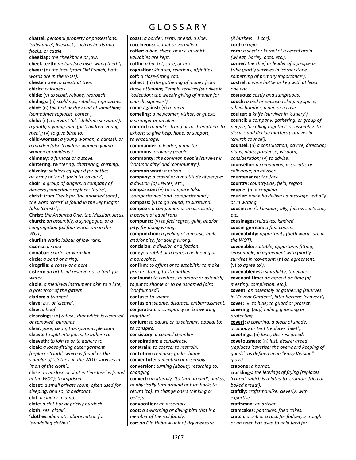**chattel:** *personal property or possessions, 'substance'; livestock, such as herds and flocks, or cattle.* **cheeklap:** *the cheekbone or jaw.* **cheek teeth:** *molars (see also 'wang teeth').* **cheer:** (n) *the face (from Old French; both words are in the WOT).* **chesten tree:** *a chestnut tree.* **chicks:** *chickpeas.* **chide:** (v) *to scold, rebuke, reproach.* **chidings:** (n) *scoldings, rebukes, reproaches.* **chief:** (n) *the first or the head of something (sometimes replaces 'corner').* **child:** (n) *a servant (pl. 'children: servants'); a youth; a young man (pl. 'children: young men');* (v) *to give birth to.* **child-woman:** *a young woman, a damsel, or a maiden (also 'children-women: young women or maidens').* **chimney:** *a furnace or a stove.* **chittering:** *twittering, chattering, chirping.* **chivalry:** *soldiers equipped for battle; an army or 'host' (akin to 'cavalry').* **choir:** *a group of singers; a company of dancers (sometimes replaces 'quire').* **christ:** *from Greek for 'the anointed (one)'; the word 'christ' is found in the Septuagint (also 'christs').* **Christ:** *the Anointed One, the Messiah, Jesus.* **church:** *an assembly, a synagogue, or a congregation (all four words are in the WOT).* **churlish work:** *labour of low rank.* **ciconia:** *a stork.* **cinnabar:** *scarlet or vermilion.* **circle:** *a band or a ring.* **cirogrille:** *a coney or a hare.* **cistern:** *an artificial reservoir or a tank for water.* **citole:** *a medieval instrument akin to a lute, a precursor of the gittern.* **clarion:** *a trumpet.* **clave:** *p.t. of 'cleave'.* **claw:** *a hoof.* **cleansings:** (n) *refuse, that which is cleansed or removed, purgings.* **clear:** *pure; clean; transparent; pleasant.* **cleave:** *to split into parts; to adhere to.* **cleaveth:** *to join to or to adhere to.* **cloak :** *a loose-fitting outer garment*  **close:** *to enclose or shut in ('enclose' is found in the WOT); to imprison. (replaces 'cloth', which is found as the singular of 'clothes' in the WOT; survives in 'man of the cloth').* **closet:** *a small private room, often used for sleeping, and so, 'a bedroom'.* **clot:** *a clod or a lump.* **clote:** *a clot-bur or prickly burdock.* **cloth:** *see 'cloak'.* **'clothes:** *idiomatic abbreviation for 'swaddling clothes'.* **coast:** *a border, term, or end; a side.* **coccineous:** *scarlet or vermilion.* **coffer:** *a box, chest, or ark, in which valuables are kept.* **coffin:** *a basket, case, or box.* **cognation:** *kindred, relations, affinities.* **coif:** *a close-fitting cap.* **collect:** (n) *the gathering of money from those attending Temple services (survives in 'collection: the weekly giving of money for church expenses').* **come against:** (v) *to meet.* **comeling:** *a newcomer, visitor, or guest; a stranger or an alien.*  **comfort:** *to make strong or to strengthen; to exhort; to give help, hope, or support, to encourage.* **commander:** *a leader; a master.* **commons:** *ordinary people.* **commonty:** *the common people (survives in 'commonality' and 'community').* **common ward:** *a prison.* **company:** *a crowd or a multitude of people; a division (of Levites, etc.).* **comparison:** (v) *to compare (also 'comparisoned' and 'comparisoning').* **compass:** (v) *to go round; to surround.* **compeer:** *a companion or an associate; a person of equal rank.* **compunct:** (v) *to feel regret, guilt, and/or pity, for doing wrong.*  **compunction:** *a feeling of remorse, guilt, and/or pity, for doing wrong.* **concision:** *a division or a faction.* **coney:** *a rabbit or a hare; a hedgehog or a porcupine.* **confirm:** *to affirm or to establish; to make firm or strong, to strengthen.* **confound:** *to confuse; to amaze or astonish; to put to shame or to be ashamed (also 'confounded').* **confuse:** *to shame.* **confusion:** *shame, disgrace, embarrassment.* **conjuration:** *a conspiracy or 'a swearing together'.* **conjure:** *to adjure or to solemnly appeal to; to conspire.* **consistory:** *a council chamber.* **conspiration:** *a conspiracy.* **constrain:** *to coerce; to restrain.* **contrition:** *remorse; guilt; shame.* **conventicle:** *a meeting or assembly.* **conversion:** *turning (about); returning to; changing.* **convert:** (v) *literally, 'to turn around', and so, to physically turn around or turn back; to return (to); to change one's thinking or beliefs.* **convocation:** *an assembly.* **coot:** *a swimming or diving bird that is a member of the rail family.* **cor:** *an Old Hebrew unit of dry measure* 

*(8 bushels = 1 cor).* **cord:** *a rope.* **corn:** *a seed or kernel of a cereal grain (wheat, barley, oats, etc.).* **corner:** *the chief or leader of a people or tribe (partly survives in 'cornerstone: something of primary importance').* **costrel:** *a wine bottle or keg with at least one ear.* **costuous:** *costly and sumptuous.* **couch:** *a bed or enclosed sleeping space, a bedchamber; a den or a cave.*  **coulter:** *a knife (survives in 'cutlery').* **council:** *a company, gathering, or group of people; 'a calling together' or assembly, to discuss and decide matters (survives in 'church council').* **counsel:** (n) *a consultation; advice, direction; plans, plots; prudence, wisdom, consideration;* (v) *to advise.* **counsellor:** *a companion, associate, or colleague; an adviser.* **countenance:** *the face.* **country:** *countryside, field, region.* **couple:** (n) *a coupling.* **courier:** *one who delivers a message verbally or in writing.* **cousin:** *one's kinsman, ally, fellow, son's son, etc.* **cousinages:** *relatives, kindred.* **cousin-german:** *a first cousin.* **covenability:** *opportunity (both words are in the WOT).*  **covenable:** *suitable, opportune, fitting, seasonable, in agreement with (partly survives in 'covenant:* (n) *an agreement;*  (v) *to agree to').* **covenableness:** *suitability, timeliness.* **covenant time:** *an agreed-on time (of meeting, completion, etc.).* **covent:** *an assembly or gathering (survives in 'Covent Gardens'; later became 'convent').* **cover:** (v) *to hide; to guard or protect.* **covering:** (adj.) *hiding; guarding or protecting.* **covert :** *a covering, a place of shade, a canopy or tent (replaces 'hilet').* **covetings:** (n) *lusts, desires; greed.* **covetousness:** (n) *lust, desire; greed (replaces 'covetise: the over-hard keeping of goods', as defined in an "Early Version" gloss).* **crabone:** *a hornet.* **cracklings :** *the leavings of frying (replaces*  **craftily:** *craftsmanlike, cleverly, with expertise. 'criton', which is related to 'crouton: fried or baked bread').* **craftsman:** *an artisan.* **cramcakes:** *pancakes, fried cakes.* **cratch:** *a crib or a rack for fodder; a trough* 

*or an open box used to hold feed for* 

1267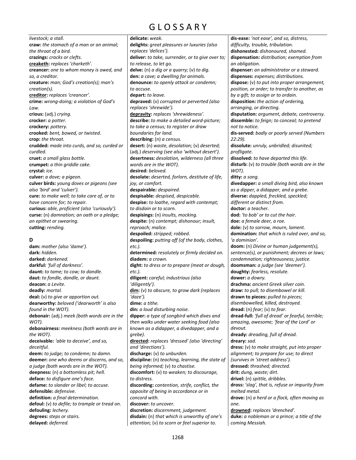*livestock; a stall.* **craw:** *the stomach of a man or an animal; the throat of a bird.* **crazings:** *cracks or clefts.* **creaketh :** *replaces 'charketh'.* **creancer:** *one to whom money is owed, and so, a creditor.* **creature:** *man; God's creation(s); man's creation(s).* **creditor :** *replaces 'creancer'.* **crime:** *wrong-doing; a violation of God's Law.* **crious:** (adj.) *crying.* **crocker:** *a potter.* **crockery:** *pottery.* **crooked:** *bent, bowed, or twisted.* **crop:** *the throat.* **crudded:** *made into curds, and so, curded or curdled.* **cruet:** *a small glass bottle.* **crumpet:** *a thin griddle cake.* **crystal:** *ice.* **culver:** *a dove; a pigeon.* **culver birds:** *young doves or pigeons (see also 'bird' and 'culver').* **cure:** *to make well; to take care of, or to have concern for; to repair.* **curious:** *able, proficient (also 'curiously').* **curse:** (n) *damnation; an oath or a pledge; an epithet or swearing.* **cutting:** *rending.*

#### **D**

**dam:** *mother (also 'dame').* **dark:** *hidden.* **darked:** *darkened.* **darkful:** *'full of darkness'.* **daunt:** *to tame; to cow; to dandle.* **daut:** *to fondle, dandle, or daunt.* **deacon:** *a Levite.* **deadly:** *mortal.* **deal:** (v) *to give or apportion out.* **dearworthy:** *beloved ('dearworth' is also found in the WOT).* **debonair:** (adj.) *meek (both words are in the WOT).* **debonairness:** *meekness (both words are in the WOT).* **deceivable:** *'able to deceive', and so, deceitful.* **deem:** *to judge; to condemn; to damn.* **deemer:** *one who deems or discerns, and so, a judge (both words are in the WOT).* **deepness:** (n) *a bottomless pit; hell.* **deface:** *to disfigure one's face.* **defame:** *to slander or libel; to accuse.* **defensible:** *defensive.* **definition:** *a final determination.* **defoul:** (v) *to defile; to trample or tread on.* **defouling:** *lechery.* **degrees:** *steps or stairs.* **delayed:** *deferred.*

**delicate:** *weak.* **delights:** *great pleasures or luxuries (also replaces 'delices').* **deliver:** *to take, surrender, or to give over to; to release, to let go.* **delve:** (n) *a dig or a quarry;* (v) *to dig.* **den:** *a cave; a dwelling for animals.* **denounce:** *to openly attack or condemn; to accuse.* **depart:** *to leave.* **depraved:** (v) *corrupted or perverted (also replaces 'shrewide').*  **depravity :** *replaces 'shrewideness'.* **describe:** *to make a detailed word-picture; to take a census; to register or draw boundaries for land.* **describing:** (n) *a census.* **desert:** (n) *waste, desolation;* (v) *deserted;*  (adj.) *deserving (see also 'without desert').* **desertness:** *desolation, wilderness (all three words are in the WOT).* **desired:** *beloved.* **desolate:** *deserted, forlorn, destitute of life, joy, or comfort.* **despairable:** *despaired.* **despisable:** *despised, despicable.* **despise:** *to loathe, regard with contempt; to disdain or to scorn.* **despisings:** (n) *insults, mocking.* **despite:** (n) *contempt; dishonour; insult, reproach; malice.* **despoiled:** *stripped; robbed.* **despoiling:** *putting off (of the body, clothes, etc.).* **determined:** *resolutely or firmly decided on.* **diadem:** *a crown.* **dight:** *to dress or to prepare (meat or dough, etc.).* **diligent:** *careful; industrious (also 'diligently').* **dim :** (v) *to obscure, to grow dark (replaces*  **dime:** *a tithe. 'daze').* **din:** *a loud disturbing noise.* **dipper:** *a type of songbird which dives and then walks under water seeking food (also known as a didapper, a divedapper, and a grebe).* **directed :** *replaces 'dressed' (also 'directing'*  **discharge:** (v) *to unburden. and 'directions').* **discipline:** (n) *teaching, learning, the state of being informed;* (v) *to chastise.* **discomfort:** (v) *to weaken; to discourage, to distress.* **discording:** *contention, strife, conflict, the opposite of being in accordance or in concord with.*  **discover:** *to uncover.* **discretion:** *discernment, judgement.* **disdain:** (n) *that which is unworthy of one's attention;* (v) *to scorn or feel superior to.*

**dis-ease:** *'not ease', and so, distress, difficulty, trouble, tribulation.* **dishonested:** *dishonoured, shamed.* **dispensation:** *distribution; exemption from an obligation.* **dispenser:** *an administrator or a steward.* **dispenses:** *expenses; distributions.* **dispose:** (v) *to put into proper arrangement, position, or order; to transfer to another, as by a gift; to assign or to ordain.* **disposition:** *the action of ordering, arranging, or directing.* **disputation:** *argument, debate, controversy.* **dissemble:** *to feign; to conceal; to pretend not to notice.* **dis-served:** *badly or poorly served (Numbers 22:29).* **dissolute:** *unruly, unbridled; disunited; profligate.* **dissolved:** *to have departed this life.* **disturb:** (v) *to trouble (both words are in the WOT).* **ditty:** *a song.* **divedapper:** *a small diving bird, also known as a dipper, a didapper, and a grebe.* **diverse:** *dappled, freckled, speckled; different or distinct from.* **doctor:** *a teacher.* **dod:** *'to bob' or to cut the hair.* **doe:** *a female deer, a roe.* **dole:** (v) *to sorrow, mourn, lament.* **domination:** *that which is ruled over, and so, 'a dominion'.* **doom:** (n) *Divine or human judgement(s), sentence(s), or punishment; decrees or laws; condemnation; righteousness; justice.*  **doomsman:** *a judge (see 'deemer').* **doughty:** *fearless, resolute.* **dower:** *a dowry.* **drachma:** *ancient Greek silver coin.* **draw:** *to pull; to disembowel or kill.* **drawn to pieces:** *pulled to pieces; disembowelled, killed, destroyed.* **dread:** (n) *fear;* (v) *to fear.*  **dread-full:** *'full of dread' or fearful, terrible; amazing, awesome; 'fear of the Lord' or devout.* **dready:** *dreading, full of dread.* **dreary:** *sad.* **dress:** (v) *to make straight, put into proper alignment; to prepare for use; to direct (survives in 'street address').* **dressed:** *thrashed; directed.* **drit:** *dung, waste; dirt.* **drivel:** (n) *spittle, dribbles.* **dross:** *'slag', that is, refuse or impurity from melted metal.* **drove:** (n) *a herd or a flock, often moving as one.* **drowned :** *replaces 'drenched'.***duke:** *a nobleman or a prince; a title of the coming Messiah.*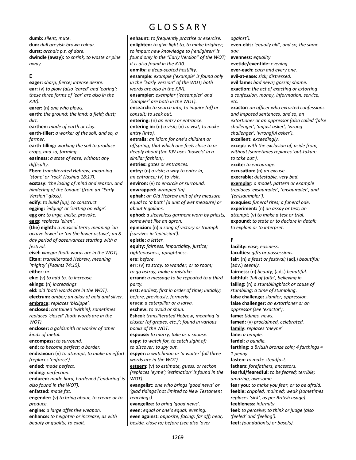**dumb:** *silent; mute.* **dun:** *dull greyish-brown colour.* **durst:** *archaic p.t. of dare.* **dwindle (away):** *to shrink, to waste or pine away.*

#### **E**

**eager:** *sharp; fierce; intense desire.* **ear:** (v) *to plow (also 'eared' and 'earing'; these three forms of 'ear' are also in the KJV).* **earer:** (n) *one who plows.* **earth:** *the ground; the land; a field; dust; dirt.* **earthen:** *made of earth or clay.* **earth-tiller:** *a worker of the soil, and so, a farmer.* **earth-tilling:** *working the soil to produce crops, and so, farming.* **easiness:** *a state of ease, without any difficulty.* **Eben:** *transliterated Hebrew, mean-ing 'stone' or 'rock' (Joshua 18:17).* **ecstasy:** *'the losing of mind and reason, and hindering of the tongue' (from an "Early Version" gloss).* **edify:** *to build (up), to construct.* **egging:** *'edging' or 'setting on edge'.* **egg on:** *to urge, incite, provoke.* **eggs :** *replaces 'eiren'.* **(the) eighth:** *a musical term, meaning 'an octave lower' or 'on the lower octave'; an 8 day period of observances starting with a festival.* **eisel:** *vinegar (both words are in the WOT).* **Eitan:** *transliterated Hebrew, meaning 'mighty' (Psalms 74:15).* **either:** *or.* **eke:** (v) *to add to, to increase.* **ekings:** (n) *increasings.* **eld:** *old (both words are in the WOT).* **electrum:** *amber; an alloy of gold and silver.* **embrace :** *replaces 'biclippe'.* **enclosed:** *contained (within); sometimes replaces 'closed' (both words are in the WOT).* **encloser:** *a goldsmith or worker of other kinds of metal.* **encompass:** *to surround.* **end:** *to become perfect; a border.* **endeavour :** (v) *to attempt, to make an effort*  **ended:** *made perfect. (replaces 'enforce').* **ending:** *perfection.* **endured:** *made hard, hardened ('enduring' is also found in the WOT).* **enfatted:** *made fat.* **engender:** (v) *to bring about, to create or to produce.* **engine:** *a large offensive weapon.* **enhance:** *to heighten or increase, as with beauty or quality, to exalt.*

**enhaunt:** *to frequently practise or exercise.* **enlighten:** *to give light to, to make brighter; to impart new knowledge to ('enlighten' is found only in the "Early Version" of the WOT; it is also found in the KJV).* **enmity:** *a deep-seated hostility.* **ensample:** *example ('example' is found only in the "Early Version" of the WOT; both words are also in the KJV).* **ensampler:** *exemplar ('ensampler' and 'sampler' are both in the WOT).* **ensearch:** *to search into; to inquire (of) or consult; to seek out.* **entering:** (n) *an entry or entrance.* **entering in:** (n) *a visit;* (v) *to visit; to make entry (into).* **entrails:** *an idiom for one's children or offspring; that which one feels close to or deeply about (the KJV uses 'bowels' in a similar fashion).* **entries:** *gates or entrances.* **entry:** (n) *a visit; a way to enter in, an entrance;* (v) *to visit.* **environ:** (v) *to encircle or surround.* **enwrapped:** *wrapped (in).* **ephah:** *an Old Hebrew unit of dry measure equal to 'a bath' (a unit of wet measure) or about 9 gallons.* **ephod:** *a sleeveless garment worn by priests, somewhat like an apron.* **epinicion:** (n) *a song of victory or triumph (survives in 'epinician').* **epistle:** *a letter.* **equity:** *fairness, impartiality, justice; righteousness, uprightness.* **ere:** *before.* **err:** (v) *to stray, to wander, or to roam; to go astray, make a mistake.* **errand:** *a message to be repeated to a third party.* **erst:** *earliest, first in order of time; initially; before, previously, formerly.* **eruca:** *a caterpillar or a larva.* **eschew:** *to avoid or shun.* **Eshcol:** *transliterated Hebrew, meaning 'a cluster (of grapes, etc.)'; found in various books of the WOT.* **espouse:** *to marry, take as a spouse.* **espy:** *to watch for, to catch sight of; to discover; to spy out.* **espyer:** *a watchman or 'a waiter' (all three words are in the WOT).* **esteem :** (v) *to estimate, guess, or reckon*  **evangelist:** *one who brings 'good news' or 'glad tidings'(not limited to New Testament teachings). (replaces 'eyme'; 'estimation' is found in the WOT).* **evangelize:** *to bring 'good news'.* **even:** *equal or one's equal; evening.* **even against:** *opposite, facing; far off; near, beside, close to; before (see also 'over* 

**even-elds:** *'equally old', and so, the same age.* **evenness:** *equality.* **evetide/eventide:** *evening.* **ever-each:** *each and every one.* **evil-at-ease:** *sick; distressed.* **evil fame:** *bad news; gossip; shame.* **exaction:** *the act of exacting or extorting a confession, money, information, service, etc.* **exactor:** *an officer who extorted confessions and imposed sentences, and so, an extortioner or an oppressor (also called 'false challenger', 'unjust asker', 'wrong challenger', 'wrongful asker').* **excellent:** *exceedingly.* **except :** *with the exclusion of, aside from, to take out'). without (sometimes replaces 'out-takun:*  **excite:** *to encourage.* **excusation:** (n) *an excuse.*  **execrable:** *detestable, very bad.* **exemplar :** *a model, pattern or example*  **exequies:** *funeral rites; a funeral ode. (replaces 'exsaumpler', 'ensaumpler', and '(en)saumpler').* **experiment:** (n) *an assay or test; an attempt;* (v) *to make a test or trial.* **expound:** *to state or to declare in detail; to explain or to interpret.*

#### **F**

*against').*

**facility:** *ease, easiness.* **faculties:** *gifts or possessions.* **fair:** (n) *a feast or festival;* (adj.) *beautiful;* (adv.) *seemly.* **fairness:** (n) *beauty;* (adj.) *beautiful.* **faithful:** *'full of faith', believing in.* **falling:** (n) *a stumblingblock or cause of stumbling; a time of stumbling.* **false challenge:** *slander; oppression.* **false challenger:** *an extortioner or an oppressor (see 'exactor').* **fame:** *tidings, news.* **famed:** (v) *proclaimed, celebrated.* **family :** *replaces 'meyne'.* **fane:** *a temple.* **fardel:** *a bundle.* **farthing:** *a British bronze coin; 4 farthings = 1 penny.* **fasten:** *to make steadfast.* **fathers:** *forefathers, ancestors.* **fearful/fearedful:** *to be feared; terrible; amazing, awesome.* **fear you:** *to make you fear, or to be afraid.* **feeble:** *crippled, maimed; weak (sometimes replaces 'sick', as per British usage).* **feebleness:** *infirmity.* **feel:** *to perceive; to think or judge (also 'feeled' and 'feeling').* **feet:** *foundation(s) or base(s).*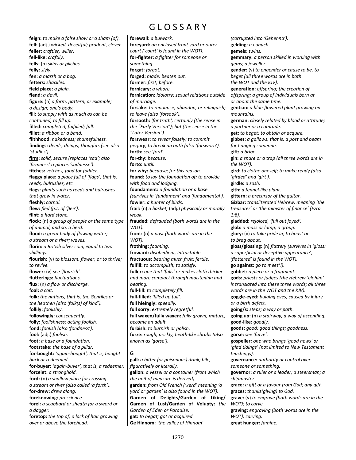**feign:** *to make a false show or a sham (of).* **fell:** (adj.) *wicked, deceitful; prudent, clever.* **feller:** *craftier, wilier.* **fell-like:** *craftily.* **fells:** (n) *skins or pilches.* **felly:** *slyly.* **fen:** *a marsh or a bog.* **fetters:** *shackles.* **field place:** *a plain.* **fiend:** *a devil.* **figure:** (n) *a form, pattern, or example; a design; one's body.* **fill:** *to supply with as much as can be contained, to fill up.* **filled:** *completed, fulfilled; full.*  **fillet:** *a ribbon or a band.* **filthhood:** *nakedness; shamefulness.* **findings:** *deeds, doings; thoughts (see also 'studies').* **firm:** *solid, secure (replaces 'sad'; also 'firmness ' replaces 'sadnesse').*  **fitches:** *vetches, food for fodder.* **flaggy place:** *a place full of 'flags', that is, reeds, bulrushes, etc.* **flags:** *plants such as reeds and bulrushes that grow in water.* **fleshly:** *carnal.* **flew:** *fled (p.t. of 'flee').* **flint:** *a hard stone.* **flock:** (n) *a group of people or the same type of animal, and so, a herd.* **flood:** *a great body of flowing water; a stream or a river; waves.* **florin:** *a British silver coin, equal to two shillings.* **flourish:** (v) *to blossom, flower, or to thrive; to revive.* **flower:** (v) *see 'flourish'.* **flutterings:** *fluctuations.* **flux:** (n) *a flow or discharge.* **foal:** *a colt.* **folk:** *the nations, that is, the Gentiles or the heathen (also 'folk(s) of kind').* **follily:** *foolishly.* **followingly:** *consequently.* **folly:** *foolishness; acting foolish.* **fond:** *foolish (also 'fondness').* **fool:** (adj.) *foolish.* **foot:** *a base or a foundation.* **footstake:** *the base of a pillar.* **for-bought:** *'again-bought', that is, bought back or redeemed.* **for-buyer:** *'again-buyer', that is, a redeemer.* **forcelet:** *a stronghold.* **ford:** (n) *a shallow place for crossing a stream or river (also called 'a forth').* **for-drew:** *drew along.* **foreknowing:** *prescience.* **forel:** *a scabbard or sheath for a sword or a dagger.* **foretop:** *the top of; a lock of hair growing over or above the forehead.*

**forewall:** *a bulwark.* **foreyard:** *an enclosed front yard or outer court ('court' is found in the WOT).*  **for-fighter:** *a fighter for someone or something.* **forgat:** *forgot.* **forged:** *made; beaten out.* **former:** *first; before.* **fornicary:** *a whore.* **fornication:** *idolatry; sexual relations outside of marriage.* **forsake:** *to renounce, abandon, or relinquish; to leave (also 'forsook').* **forsooth:** *'for truth', certainly (the sense in the "Early Version"); but (the sense in the "Later Version").* **forswear:** *to swear falsely; to commit perjury; to break an oath (also 'forsworn').* **forth:** *see 'ford'.*  **for-thy:** *because.* **forto:** *until.* **for why:** *because; for this reason.* **found:** *to lay the foundation of; to provide with food and lodging.* **foundament:** *a foundation or a base (survives in 'fundament' and 'fundamental').* **fowler:** *a hunter of birds.* **frail:** (n) *a basket;* (adj.) *physically or morally weak.*  **frauded:** *defrauded (both words are in the WOT).* **front:** (n) *a post (both words are in the WOT).* **frothing:** *foaming.* **froward:** *disobedient, intractable.* **fructuous:** *bearing much fruit; fertile.* **fulfill:** *to accomplish; to satisfy.* **fuller:** *one that 'fulls' or makes cloth thicker and more compact through moistening and beating.* **full-fill:** *to completely fill.* **full-filled:** *'filled up full'.* **full hieingly:** *speedily.* **full sorry:** *extremely regretful.* **full waxen/fully waxen:** *fully grown, mature, become an adult.* **furbish:** *to burnish or polish.* **furze:** *rough, prickly, heath-like shrubs (also known as 'gorse').* **G gall:** *a bitter (or poisonous) drink; bile, figuratively or literally.* **gallon:** *a vessel or a container (from which the unit of measure is derived).* **garden:** *from Old French ('3erd' meaning 'a yard or garden' is also found in the WOT).* **Garden of Delights/Garden of Liking/ Garden of Lust/Garden of Volupty:** *the Garden of Eden or Paradise.* **gat:** *to begat; got or acquired.*

*(corrupted into 'Gehenna').* **gelding:** *a eunuch.* **gemels:** *twins.* **gemmary:** *a person skilled in working with gems; a jeweller.* **gender:** (v) *to engender or cause to be, to beget (all three words are in both the WOT and the KJV).* **generation:** *offspring; the creation of offspring; a group of individuals born at or about the same time.* **gentian:** *a blue-flowered plant growing on mountains.* **german:** *closely related by blood or attitude; a partner or a comrade.* **get:** *to beget; to obtain or acquire.* **gibbet:** *a gallows, that is, a post and beam for hanging someone.* **gift:** *a bribe.* **gin:** *a snare or a trap (all three words are in the WOT).* **gird:** *to clothe oneself; to make ready (also 'girded' and 'girt').* **girdle:** *a sash.* **gith:** *a fennel-like plant.* **gittern:** *a precursor of the guitar.* **Gizbar:** *transliterated Hebrew, meaning 'the treasurer' or 'the minister of finance' (Ezra 1:8).*  **gladded:** *rejoiced, 'full out joyed'.* **glob:** *a mass or lump; a group.* **glory:** (v) *to take pride in; to boast or to brag about.* **gloss/glossing:** (n) *flattery (survives in 'gloss: a superficial or deceptive appearance'; 'flattered' is found in the WOT).* **go against:** *go to meet(!).* **gobbet:** *a piece or a fragment.* **gods:** *priests or judges (the Hebrew 'elohim' is translated into these three words; all three words are in the WOT and the KJV).* **goggle-eyed:** *bulging eyes, caused by injury or a birth defect.* **going/s:** *steps; a way or path.* **going up:** (n) *a stairway, a way of ascending.* **good-like:** *goodly.* **goods:** *good; good things; goodness.* **gorse:** *see 'furze'.* **gospeller:** *one who brings 'good news' or 'glad tidings' (not limited to New Testament teachings).* **governance:** *authority or control over someone or something.* **governor:** *a ruler or a leader; a steersman; a shipmaster.* **grace:** *a gift or a favour from God; any gift.* **graces:** *thanks(giving) to God.* **grave:** (v) *to engrave (both words are in the WOT); to carve.* **graving:** *engraving (both words are in the WOT); carving.*

**great hunger:** *famine.*

**Ge Hinnom:** *'the valley of Hinnom'*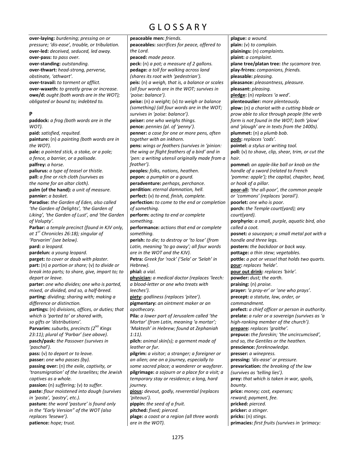# **Glossary to Wycliffe's Old Testament**

For many Middle English words given below, their most obvious, modern meaning is assumed; only a supplemental, perhaps unexpected, definition is given (e.g., "and: also"). Commas separate variations of the same definition; semi-colons distinguish different definitions of the same word. Underlined words are my replacements for "dead" or obsolete words. All other words are found in a somewhat recognizable form in the original text of the Old Testament of the "Wycliffe Bible" (WOT). Most nouns have both singular and plural forms; most verbs have the familiar tenses, as well as participle and archaic "est" and "eth" forms.

#### Α

 $AI: Ah!: O!$ aback: back, backward. *abide:* (v) to remain or live at; to wait for; to endure (also 'abode'). abortive: (n) a stillborn child. *above:* upon or on top of; over. abridge: to shorten. *acatus:* a kind of locust with wings, such as a grasshopper (from Old Latin, perhaps meaning 'a sail' or 'a spine'). accord: to agree, be in concord with. according: (n) an agreement. acknowledge: (v) to confess; to profess; to praise; to give thanks. (one's) acknowledged: (n) 'one's known', that is, acquaintances or friends. acknowledging: (n) the act of confession or profession; an acknowledgement; thanksgiving. *acount:* to count; to reckon (survives in 'accounting'). acreasing: increasing. acursed: cursed; accursed. Adam: man; a man; men. *adamant:* (n) an unbreaka ble stone: (adj.) unbreakable, 'like a stone'. *adder:* a viper. *address:* (v) to direct (derived from 'dress'). Adeodatus: from Latin, meaning 'God is gracious'. *adjure:* to entreat, to earnestly appeal to. admonish: to reprove; to warn; to exhort. side. Adonai: transliterated Hebrew, meaning 'my Lord' or 'Lord'. Out of respect and reverence the Israelites substituted 'Adonai' for 'YH-W-H' ('Yahweh' or 'Jehovah') ane of the many names of God. adorn: to add lustre or beauty to; to provide with ornaments or feet. adornments, to embellish. adown: down. advisement: a deliberation. adze: a tool for cutting wood, like an axe, but with an curved blade. afeared: afraid. affinity: in a relationship with, especially by marriage; one's kin. afixed: fixed or fastened to or on. after: according to. again-bought: (v) redeemed or bought back. again-build: (v) to rebuild. *again-buy:* (v) to redeem or to buy back; to ransom out.

again-buyer: a redeemer. again-buying: redemption. again-call: to recall or bring back. again-draw: (v) to withdraw or to draw back. again-going: going again. *again-rise:* (v) to rise or get up. *again-rising:* rising or getting up. *again-seek:* to inquire of or to seek out. again-seeker: one who seeks what is lost. against: before or in front of; facing; directly opposite; to meet; towards. against-came: met. against-come: to meet. against-coming: (a) meeting.  $against\text{-}going: (a) meeting (!).$ against-rode: rode against, and so. attacked, besieged. *against-say:* (v) to gainsay or to say against, and so, to oppose, r esist, or contradict (also 'against-said' and 'against-saith'). against-saying: (n) gainsaying or saying against, so, answering back, opposing, resisting, contradicting. *against-stand:* (v) to stand against, and so, to physically resist, withstand, or oppose (also 'against-stood'). against-went: went against, and so, withstood, resisted, opposed. *against-winced:* 'to wince' or to kick against, and so, figuratively, 'to rebel' (Deuteronomy  $32:15$ ). *again-ward:* on the contrary; to the other aggrieved: hardened; made heavy, physically or emotionally. aigre: eager or sharp; to torment or to vex; sour (survives in 'vinaigrette'). alarge: enlarge. alb: a priestly vestment that reaches to the alder-best: the very best. alder-highest: elder-, oldest-, or seniorhighest, and so, 'the chief highest' or 'the most highest' (survives in 'alderman'). alder men: elder men. alders: elders. alder-worst: the very worst. alien: (n) a stranger or a foreigner; (adj.) foreign; strange; other. aliened: (v) estranged, alienated. *aliet:* an osprey. *dight:* (v) to make light or lighter; to release. alighten: to bring to light, and so, to enlighten.

all be it: albeit. all-break: to break all in pieces (p.p. 'all-broken'). alleve: to relieve or to alleviate. alley: a passageway (also replaces 'alure'). all-foul: to crush or to destroy. allway/alway: always (all three words are in the WOT and the KJV). ally: a father in law or other close relative. almonder: an almond tree. alms-deeds: an act of almsgiving, a charitable deed. also: and. altogether: completely, entirely, totally. *dlure:* a passageway or a walkway; an open space serving as a window (sometimes spelled 'aler'; from Old French; related to 'aller: to go'). ambush: (n, v) treason, lying in wait (replaces 'aspies'; 'ambushment' is in the WOT). amend: (v) to mend, put right, or correct. *amending:* the action of putting right or correcting. *amice:* a priestly linen vestment worn on the neck and shoulders. amorrow: tomorrow, the next day. amphora: a container with two handles (from ancient Greek and Roman times); a pot. and: also. *announce*: to proclaim without allowing dissent, to command (replaces 'denounce'). annoy: to harm; to vex. *anon:* immediately, at once ('at once' is in the WOT and the KJV); as soon (as). Apadno: trans literated Hebrew, meaning 'a palace' (Daniel 11:45). *apertly:* open (survives in 'aperture'). *apocalypse:* a revealing or a revelation; a vision. apostate: one who rebels and leaves the faith and then actively opposes it. apothecary: a person who prepares and sells medicinal substances. apparelled: attired, dressed, furnished. appease: to satisfy or to mollify (derived from 'apaie'). apples of Punic: pomegranates. applied (to): joined (to). araised: raised or lifted up. *araneid:* a spider (both words are in the WOT). Arcturus: Orion.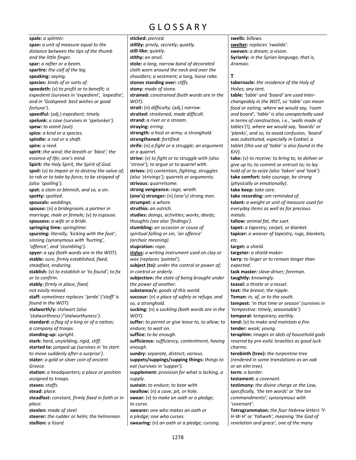# **Alternate Names of People and Places**

The Old Testament of the "Wycliffe Bible" (WOT) often has a Greek name where the King James Version (KJV) has the Hebrew, or a modern name where the KJV has an archaic one. There are also occasions in the text where the WOT has both the modern and the archaic names, or both the Hebrew and the Greek names. These doublets are presented below. As well, several times in Israelite history, both kings of the separate kingdoms of Judah and Israel had the same name at t he same time! Fortunately, each king was known by two names. In Wycliffe's Old Testament, one name was chosen for each king (something the KJV does not do). Modern translations also do this, but they vary in which name they choose! The name usually found in the WOT comes first below, but to get the most out of this list, read each entry from both directions.

Abiah: Abia, Abijah, Abijam Conaniah: Cononiah Adonis: Tammuz Dedan: Rhodes Diblath: Diblah, Riblah Adoram: Adoniram Africa: Phut/Put. Pul Ecbatana: Achmetha (modern Hamadan) Ahiah: Ahijah Eder: Edar, Ader Ai: Hai Edom(ites): Idumea(ns); Seir Alexandria: incorrectly replaces No Elath: Eloth Arabia: Sheba Enos: Enosh Ashhur: Ashur Ephratah: Ephrath, Ephrathah Ashtaroth: Astaroth Ephron: Ephraim/Ephrain, Ophrah Ethiopia( $ns$ ): Cush( $ans$ ) Assur: Asshur, Assyria, the Assyrian Astarte: Ashtoreth Gaza: Azzah Azal: Azel Geba: Gaba Azariah: Uzziah  $Gebalite(s)$ :  $Giblite(s)$ Azem: Ezem Gershon: Gershom Baale (of Judah): Baalah, Kiriatharim, Kiriathbaal, and Girgashite(s): Girgasite(s) Kiriathjearim Gishpa: Gispa Babylon: Babel, Sheshach, first known as Ur Grecia/Greece/Greek land: Javan Bashemath: Basemath, Basmath, Adah Hadadezer: Hadarezer Bathsheba: Bathshua Hakkoz: Koz Beeshterah: Beth -ashterah, Ashtaroth Ham: Egypt **Bezaleel: Bezalel** Hananeel: Hananel (men of) Bichri: the Berites ( $2^{10}$  Samuel 20:14) Haran: Charran, Harran Bigthan: Bigthana Harapha: Raphah **Bubastis: Pibeseth** Hazazontamar: Hazezontamar **Byblos: Gebal** Hegai: Hege Cappadocia: Caphtor; incorrectly replaces Meshech Heliopolis: Aven, Bethshemesh, On Carthage: incorrectly replaces Tarshish Hemath: Hamath Chaldees: Chaldeans, Babylonians Hezekiah: Hizkiah/Hizkijah Charashim: Ge-harashim Hiram: Huram Charchemish: Carchemish Hodevah: Hodvah. Hodaviah  $Cherethite(s)$ : Kerethite $(s)$ Horeb: (Mt.) Sinai Chezib: Achzib, Kezib Horhaggidgad: Horhagidgad Chimham: Kimham India: incorrectly replaces Ashurites Chinnereth: Chinneroth, Kinnereth, Galilee, and  $Ishmaelite(s)$ :  $Ishmeelite(s)$ Gennesaret Ishod: Ishhod Italy: incorrectly replaces Chittim and Tubal Chisleu: Chilev. Kislev Chislothtabor: Kisloth-tabor Iyeabarim: Ijeabarim (also known as Iyim) Chittim: Kittim, Cyprus, Greece (and 'Romans' in Iyim: Iim Daniel 11:30) Izhar(ites): Izehar(ites) Chiun: Kaiwan Izri: Zeri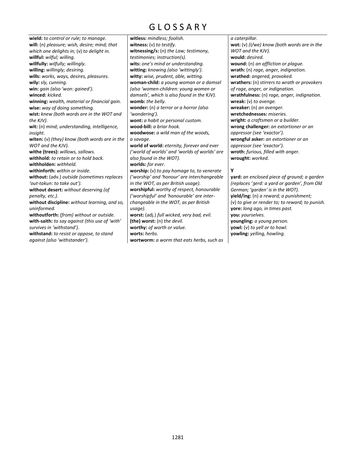### and I shall give to thee tables of stone, and the law, and commandments which I have written, that thou teach them.

From the state of a burning bush, from the midst of the Holy of Holies in the Temple in Jerusalem or above the summit of Mount Sinai in the desert, to prophets, priests, and patriarchs alike, YAHWEHthe Great "IAM", "the God of revelation and grace", spoke to His people in words they could all understand.

Mosame down from Mt. Sinai with the ten commandments written in stone by the finger of God in a language the entire nation of Israel could read.

Daxim posed his poems of praise and petition, promises and pleadings, to the Lord God of hosts, in the everyday language of his people.

Solonger and his proverbs of wise fatherly counsel, and his songs of passionate love, in Hebrew, the language of many of his sons, and at least some of his lovers.

**B300** years later, in England, the Word of God was written almost exclusively in Latin<sup>1</sup>, an unknown language to 99% of that society. Indeed Latin was only understood by some of the clergy, some of the well off, and the few who were university educated. This id not disquiet the Church princes, who long before had transformed the "DivineCommission" – to preach the Word and save souls – into the more temporal undertaking of an all consuming drive to wield authority over every aspect of life, and in doing so, to accumulate ever greater wealth.

Jollard Diversity professor and theologian, was one of those few who had read the Latin Bible. And although a scholar living a life of privilege, he felt a special empathy for the poor, the uneducated, those multitudes in feudal servitude whose lives were "nasty, brutish, and short". Huballenged the princes of the Church to face their hypocrisy and widespread corruption  $-$  and repent. Hailed that, because of them, the Church was no longer worthy to be The Keeper of the Word of God. And proposed a truly revolutionary idea:

"State property of the property of the people, and one which no party Christnd his apostle s converted much people by should be allowed to wrest from them. uncovering of scripture, and this in the tongue which was most known to them. Whthen may not the modern disciples of Christ gather up the fragments of the same bread? The faith of Christought therefore to be recounted to the people in both languages, Latin and English."

<sup>&</sup>lt;sup>1</sup> Following Kng Edward *b* expulsion edict of 1290, decreeing the banishment of all ews from England, the Lewish people were absent from its soil until the mid-17<sup>™</sup> century. Unwever, Unclet Old Testaments, commentaries, and other scholarly writings concerning the ebrew Scriptures, were studied when the Old Testament of the "Wycliffe Bible" was written and revised (as were Greeksources when its Aw Testament was written and revised). For more on this, see A Word Regarding the Primary Source' below.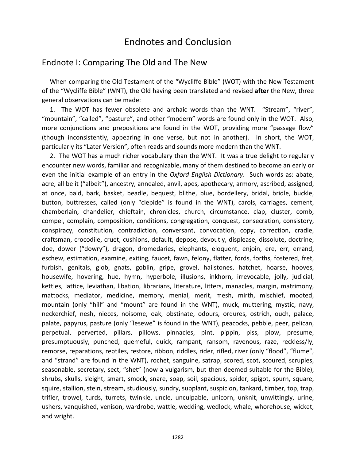# [Endnotes and Conclusion](#page-0-0)

### <span id="page-38-0"></span>Endnote I: Comparing The Old and The New

 When comparing the Old Testament of the "Wycliffe Bible" (WOT) with the New Testament of the "Wycliffe Bible" (WNT), the Old having been translated and revised **after** the New, three general observations can be made:

 1. The WOT has fewer obsolete and archaic words than the WNT. "Stream", "river", "mountain", "called", "pasture", and other "modern" words are found only in the WOT. Also, more conjunctions and prepositions are found in the WOT, providing more "passage flow" (though inconsistently, appearing in one verse, but not in another). In short, the WOT, particularly its "Later Version", often reads and sounds more modern than the WNT.

 2. The WOT has a much richer vocabulary than the WNT. It was a true delight to regularly encounter new words, familiar and recognizable, many of them destined to become an early or even the initial example of an entry in the *Oxford English Dictionary*. Such words as: abate, acre, all be it ("albeit"), ancestry, annealed, anvil, apes, apothecary, armory, ascribed, assigned, at once, bald, bark, basket, beadle, bequest, blithe, blue, bordellery, bridal, bridle, buckle, button, buttresses, called (only "clepide" is found in the WNT), carols, carriages, cement, chamberlain, chandelier, chieftain, chronicles, church, circumstance, clap, cluster, comb, compel, complain, composition, conditions, congregation, conquest, consecration, consistory, conspiracy, constitution, contradiction, conversant, convocation, copy, correction, cradle, craftsman, crocodile, cruet, cushions, default, depose, devoutly, displease, dissolute, doctrine, doe, dower ("dowry"), dragon, dromedaries, elephants, eloquent, enjoin, ere, err, errand, eschew, estimation, examine, exiting, faucet, fawn, felony, flatter, fords, forths, fostered, fret, furbish, genitals, glob, gnats, goblin, gripe, grovel, hailstones, hatchet, hoarse, hooves, housewife, hovering, hue, hymn, hyperbole, illusions, inkhorn, irrevocable, jolly, judicial, kettles, lattice, leviathan, libation, librarians, literature, litters, manacles, margin, matrimony, mattocks, mediator, medicine, memory, menial, merit, mesh, mirth, mischief, mooted, mountain (only "hill" and "mount" are found in the WNT), muck, muttering, mystic, navy, neckerchief, nesh, nieces, noisome, oak, obstinate, odours, ordures, ostrich, ouch, palace, palate, papyrus, pasture (only "lesewe" is found in the WNT), peacocks, pebble, peer, pelican, perpetual, perverted, pillars, pillows, pinnacles, pint, pippin, piss, plow, presume, presumptuously, punched, quemeful, quick, rampant, ransom, ravenous, raze, reckless/ly, remorse, reparations, reptiles, restore, ribbon, riddles, rider, rifled, river (only "flood", "flume", and "strand" are found in the WNT), rochet, sanguine, satrap, scored, scot, scoured, scruples, seasonable, secretary, sect, "shet" (now a vulgarism, but then deemed suitable for the Bible), shrubs, skulls, sleight, smart, smock, snare, soap, soil, spacious, spider, spigot, spurn, square, squire, stallion, stein, stream, studiously, sundry, supplant, suspicion, tankard, timber, top, trap, trifler, trowel, turds, turrets, twinkle, uncle, unculpable, unicorn, unknit, unwittingly, urine, ushers, vanquished, venison, wardrobe, wattle, wedding, wedlock, whale, whorehouse, wicket, and wright.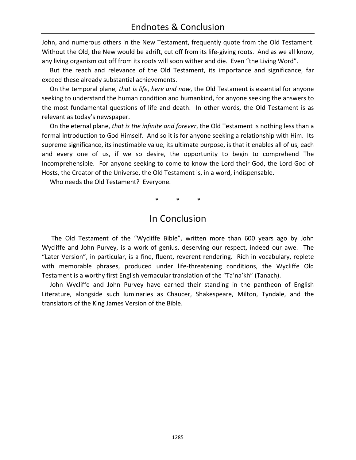# **Old Testament**

Introduction

Alternate Names of People and Places

Glossary to Wycliffe's Old Testament

**Endnotes and Conclusion** 

**New Testament**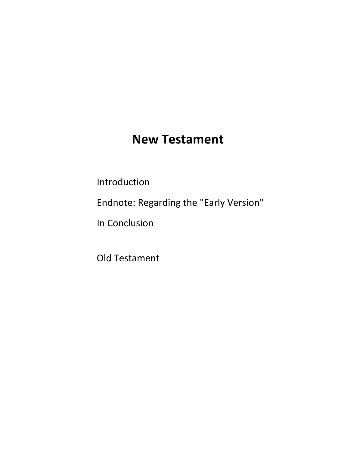# <span id="page-42-0"></span>**New Testament**

[Introduction](#page-43-0)

Endnote[: Regarding the "Early Version"](#page-56-0)

[Glossary](#page-58-0)

In [Conclusion](#page-0-0)

Old Testament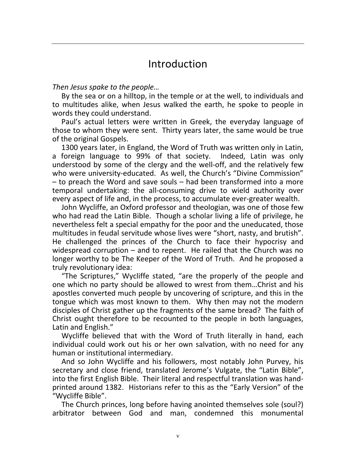### <span id="page-43-0"></span>*Then Jesus spake to the people…*

 By the sea or on a hilltop, in the temple or at the well, to individuals and to multitudes alike, when Jesus walked the earth, he spoke to people in words they could understand.

 Paul's actual letters were written in Greek, the everyday language of those to whom they were sent. Thirty years later, the same would be true of the original Gospels.

 1300 years later, in England, the Word of Truth was written only in Latin, a foreign language to 99% of that society. Indeed, Latin was only understood by some of the clergy and the well-off, and the relatively few who were university-educated. As well, the Church's "Divine Commission" – to preach the Word and save souls – had been transformed into a more temporal undertaking: the all-consuming drive to wield authority over every aspect of life and, in the process, to accumulate ever-greater wealth.

 John Wycliffe, an Oxford professor and theologian, was one of those few who had read the Latin Bible. Though a scholar living a life of privilege, he nevertheless felt a special empathy for the poor and the uneducated, those multitudes in feudal servitude whose lives were "short, nasty, and brutish". He challenged the princes of the Church to face their hypocrisy and widespread corruption – and to repent. He railed that the Church was no longer worthy to be The Keeper of the Word of Truth. And he proposed a truly revolutionary idea:

 "The Scriptures," Wycliffe stated, "are the properly of the people and one which no party should be allowed to wrest from them…Christ and his apostles converted much people by uncovering of scripture, and this in the tongue which was most known to them. Why then may not the modern disciples of Christ gather up the fragments of the same bread? The faith of Christ ought therefore to be recounted to the people in both languages, Latin and English."

 Wycliffe believed that with the Word of Truth literally in hand, each individual could work out his or her own salvation, with no need for any human or institutional intermediary.

 And so John Wycliffe and his followers, most notably John Purvey, his secretary and close friend, translated Jerome's Vulgate, the "Latin Bible", into the first English Bible. Their literal and respectful translation was handprinted around 1382. Historians refer to this as the "Early Version" of the "Wycliffe Bible".

 The Church princes, long before having anointed themselves sole (soul?) arbitrator between God and man, condemned this monumental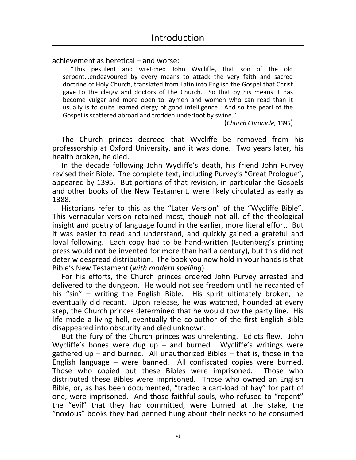achievement as heretical – and worse: "This pestilent and wretched John Wycliffe, that son of the old serpent…endeavoured by every means to attack the very faith and sacred doctrine of Holy Church, translated from Latin into English the Gospel that Christ gave to the clergy and doctors of the Church. So that by his means it has become vulgar and more open to laymen and women who can read than it usually is to quite learned clergy of good intelligence. And so the pearl of the Gospel is scattered abroad and trodden underfoot by swine."

(*Church Chronicle,* 1395)

 The Church princes decreed that Wycliffe be removed from his professorship at Oxford University, and it was done. Two years later, his health broken, he died.

 In the decade following John Wycliffe's death, his friend John Purvey revised their Bible. The complete text, including Purvey's "Great Prologue", appeared by 1395. But portions of that revision, in particular the Gospels and other books of the New Testament, were likely circulated as early as 1388.

 Historians refer to this as the "Later Version" of the "Wycliffe Bible". This vernacular version retained most, though not all, of the theological insight and poetry of language found in the earlier, more literal effort. But it was easier to read and understand, and quickly gained a grateful and loyal following. Each copy had to be hand-written (Gutenberg's printing press would not be invented for more than half a century), but this did not deter widespread distribution. The book you now hold in your hands is that Bible's New Testament (*with modern spelling*).

 For his efforts, the Church princes ordered John Purvey arrested and delivered to the dungeon. He would not see freedom until he recanted of his "sin" – writing the English Bible. His spirit ultimately broken, he eventually did recant. Upon release, he was watched, hounded at every step, the Church princes determined that he would tow the party line. His life made a living hell, eventually the co-author of the first English Bible disappeared into obscurity and died unknown.

 But the fury of the Church princes was unrelenting. Edicts flew. John Wycliffe's bones were dug up  $-$  and burned. Wycliffe's writings were gathered up – and burned. All unauthorized Bibles – that is, those in the English language – were banned. All confiscated copies were burned. Those who copied out these Bibles were imprisoned. Those who distributed these Bibles were imprisoned. Those who owned an English Bible, or, as has been documented, "traded a cart-load of hay" for part of one, were imprisoned. And those faithful souls, who refused to "repent" the "evil" that they had committed, were burned at the stake, the "noxious" books they had penned hung about their necks to be consumed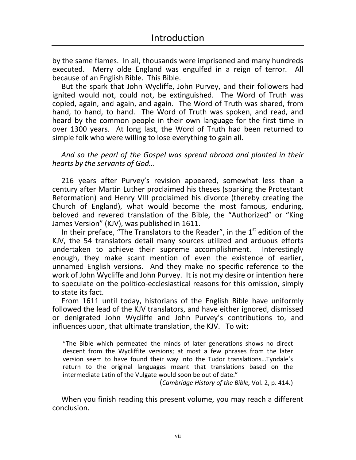by the same flames. In all, thousands were imprisoned and many hundreds executed. Merry olde England was engulfed in a reign of terror. All because of an English Bible. This Bible.

 But the spark that John Wycliffe, John Purvey, and their followers had ignited would not, could not, be extinguished. The Word of Truth was copied, again, and again, and again. The Word of Truth was shared, from hand, to hand, to hand. The Word of Truth was spoken, and read, and heard by the common people in their own language for the first time in over 1300 years. At long last, the Word of Truth had been returned to simple folk who were willing to lose everything to gain all.

 *And so the pearl of the Gospel was spread abroad and planted in their hearts by the servants of God…*

 216 years after Purvey's revision appeared, somewhat less than a century after Martin Luther proclaimed his theses (sparking the Protestant Reformation) and Henry VIII proclaimed his divorce (thereby creating the Church of England), what would become the most famous, enduring, beloved and revered translation of the Bible, the "Authorized" or "King James Version" (KJV), was published in 1611.

In their preface, "The Translators to the Reader", in the  $1<sup>st</sup>$  edition of the KJV, the 54 translators detail many sources utilized and arduous efforts undertaken to achieve their supreme accomplishment. Interestingly enough, they make scant mention of even the existence of earlier, unnamed English versions. And they make no specific reference to the work of John Wycliffe and John Purvey. It is not my desire or intention here to speculate on the politico-ecclesiastical reasons for this omission, simply to state its fact.

 From 1611 until today, historians of the English Bible have uniformly followed the lead of the KJV translators, and have either ignored, dismissed or denigrated John Wycliffe and John Purvey's contributions to, and influences upon, that ultimate translation, the KJV. To wit:

"The Bible which permeated the minds of later generations shows no direct descent from the Wycliffite versions; at most a few phrases from the later version seem to have found their way into the Tudor translations…Tyndale's return to the original languages meant that translations based on the intermediate Latin of the Vulgate would soon be out of date."

(*Cambridge History of the Bible,* Vol. 2, p. 414.)

 When you finish reading this present volume, you may reach a different conclusion.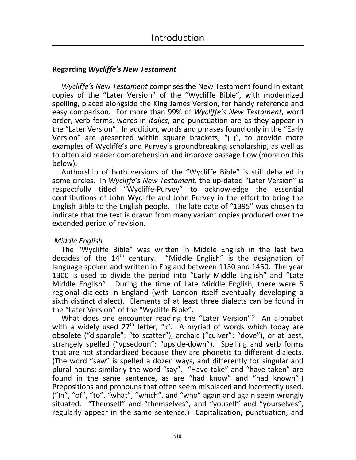### **Regarding** *Wycliffe's New Testament*

 *Wycliffe's New Testament* comprises the New Testament found in extant copies of the "Later Version" of the "Wycliffe Bible", with modernized spelling, placed alongside the King James Version, for handy reference and easy comparison. For more than 99% of *Wycliffe's New Testament*, word order, verb forms, words in *italics*, and punctuation are as they appear in the "Later Version". In addition, words and phrases found only in the "Early Version" are presented within square brackets, "[ ]", to provide more examples of Wycliffe's and Purvey's groundbreaking scholarship, as well as to often aid reader comprehension and improve passage flow (more on this below).

 Authorship of both versions of the "Wycliffe Bible" is still debated in some circles. In *Wycliffe's New Testament,* the up-dated "Later Version" is respectfully titled "Wycliffe-Purvey" to acknowledge the essential contributions of John Wycliffe and John Purvey in the effort to bring the English Bible to the English people. The late date of "1395" was chosen to indicate that the text is drawn from many variant copies produced over the extended period of revision.

### *Middle English*

 The "Wycliffe Bible" was written in Middle English in the last two decades of the  $14<sup>th</sup>$  century. "Middle English" is the designation of language spoken and written in England between 1150 and 1450. The year 1300 is used to divide the period into "Early Middle English" and "Late Middle English". During the time of Late Middle English, there were 5 regional dialects in England (with London itself eventually developing a sixth distinct dialect). Elements of at least three dialects can be found in the "Later Version" of the "Wycliffe Bible".

 What does one encounter reading the "Later Version"? An alphabet with a widely used  $27<sup>th</sup>$  letter, " $3''$ . A myriad of words which today are obsolete ("disparple": "to scatter"), archaic ("culver": "dove"), or at best, strangely spelled ("vpsedoun": "upside-down"). Spelling and verb forms that are not standardized because they are phonetic to different dialects. (The word "saw" is spelled a dozen ways, and differently for singular and plural nouns; similarly the word "say". "Have take" and "have taken" are found in the same sentence, as are "had know" and "had known".) Prepositions and pronouns that often seem misplaced and incorrectly used. ("In", "of", "to", "what", "which", and "who" again and again seem wrongly situated. "Themself" and "themselves", and "youself" and "yourselves", regularly appear in the same sentence.) Capitalization, punctuation, and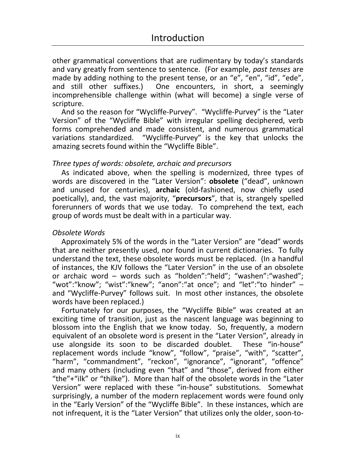other grammatical conventions that are rudimentary by today's standards and vary greatly from sentence to sentence. (For example, *past tenses* are made by adding nothing to the present tense, or an "e", "en", "id", "ede", and still other suffixes.) One encounters, in short, a seemingly incomprehensible challenge within (what will become) a single verse of scripture.

 And so the reason for "Wycliffe-Purvey". "Wycliffe-Purvey" is the "Later Version" of the "Wycliffe Bible" with irregular spelling deciphered, verb forms comprehended and made consistent, and numerous grammatical variations standardized. "Wycliffe-Purvey" is the key that unlocks the amazing secrets found within the "Wycliffe Bible".

### *Three types of words: obsolete, archaic and precursors*

 As indicated above, when the spelling is modernized, three types of words are discovered in the "Later Version": **obsolete** ("dead", unknown and unused for centuries), **archaic** (old-fashioned, now chiefly used poetically), and, the vast majority, "**precursors**", that is, strangely spelled forerunners of words that we use today. To comprehend the text, each group of words must be dealt with in a particular way.

### *Obsolete Words*

 Approximately 5% of the words in the "Later Version" are "dead" words that are neither presently used, nor found in current dictionaries. To fully understand the text, these obsolete words must be replaced. (In a handful of instances, the KJV follows the "Later Version" in the use of an obsolete or archaic word – words such as "holden":"held"; "washen":"washed"; "wot":"know"; "wist":"knew"; "anon":"at once"; and "let":"to hinder" and "Wycliffe-Purvey" follows suit. In most other instances, the obsolete words have been replaced.)

 Fortunately for our purposes, the "Wycliffe Bible" was created at an exciting time of transition, just as the nascent language was beginning to blossom into the English that we know today. So, frequently, a modern equivalent of an obsolete word is present in the "Later Version", already in use alongside its soon to be discarded doublet. These "in-house" replacement words include "know", "follow", "praise", "with", "scatter", "harm", "commandment", "reckon", "ignorance", "ignorant", "offence" and many others (including even "that" and "those", derived from either "the"+"ilk" or "thilke"). More than half of the obsolete words in the "Later Version" were replaced with these "in-house" substitutions. Somewhat surprisingly, a number of the modern replacement words were found only in the "Early Version" of the "Wycliffe Bible". In these instances, which are not infrequent, it is the "Later Version" that utilizes only the older, soon-to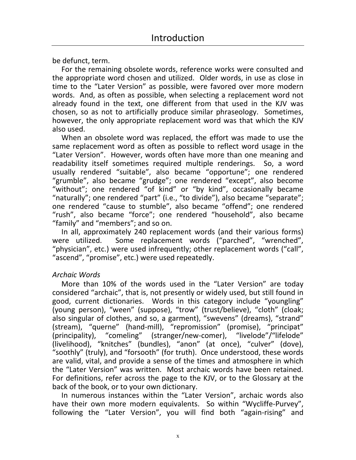be defunct, term.

 For the remaining obsolete words, reference works were consulted and the appropriate word chosen and utilized. Older words, in use as close in time to the "Later Version" as possible, were favored over more modern words. And, as often as possible, when selecting a replacement word not already found in the text, one different from that used in the KJV was chosen, so as not to artificially produce similar phraseology. Sometimes, however, the only appropriate replacement word was that which the KJV also used.

 When an obsolete word was replaced, the effort was made to use the same replacement word as often as possible to reflect word usage in the "Later Version". However, words often have more than one meaning and readability itself sometimes required multiple renderings. So, a word usually rendered "suitable", also became "opportune"; one rendered "grumble", also became "grudge"; one rendered "except", also become "without"; one rendered "of kind" or "by kind", occasionally became "naturally"; one rendered "part" (i.e., "to divide"), also became "separate"; one rendered "cause to stumble", also became "offend"; one rendered "rush", also became "force"; one rendered "household", also became "family" and "members"; and so on.

 In all, approximately 240 replacement words (and their various forms) were utilized. Some replacement words ("parched", "wrenched", "physician", etc.) were used infrequently; other replacement words ("call", "ascend", "promise", etc.) were used repeatedly.

### *Archaic Words*

 More than 10% of the words used in the "Later Version" are today considered "archaic", that is, not presently or widely used, but still found in good, current dictionaries. Words in this category include "youngling" (young person), "ween" (suppose), "trow" (trust/believe), "cloth" (cloak; also singular of clothes, and so, a garment), "swevens" (dreams), "strand" (stream), "querne" (hand-mill), "repromission" (promise), "principat" (principality), "comeling" (stranger/new-comer), "livelode"/"lifelode" (livelihood), "knitches" (bundles), "anon" (at once), "culver" (dove), "soothly" (truly), and "forsooth" (for truth). Once understood, these words are valid, vital, and provide a sense of the times and atmosphere in which the "Later Version" was written. Most archaic words have been retained. For definitions, refer across the page to the KJV, or to the Glossary at the back of the book, or to your own dictionary.

 In numerous instances within the "Later Version", archaic words also have their own more modern equivalents. So within "Wycliffe-Purvey", following the "Later Version", you will find both "again-rising" and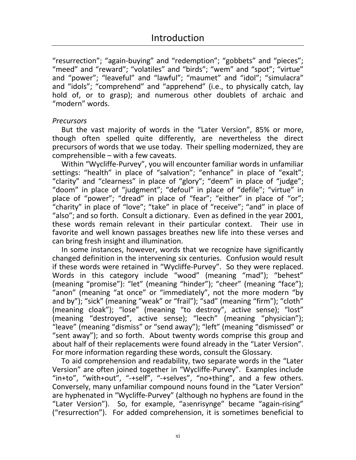"resurrection"; "again-buying" and "redemption"; "gobbets" and "pieces"; "meed" and "reward"; "volatiles" and "birds"; "wem" and "spot"; "virtue" and "power"; "leaveful" and "lawful"; "maumet" and "idol"; "simulacra" and "idols"; "comprehend" and "apprehend" (i.e., to physically catch, lay hold of, or to grasp); and numerous other doublets of archaic and "modern" words.

### *Precursors*

 But the vast majority of words in the "Later Version", 85% or more, though often spelled quite differently, are nevertheless the direct precursors of words that we use today. Their spelling modernized, they are comprehensible – with a few caveats.

 Within "Wycliffe-Purvey", you will encounter familiar words in unfamiliar settings: "health" in place of "salvation"; "enhance" in place of "exalt"; "clarity" and "clearness" in place of "glory"; "deem" in place of "judge"; "doom" in place of "judgment"; "defoul" in place of "defile"; "virtue" in place of "power"; "dread" in place of "fear"; "either" in place of "or"; "charity" in place of "love"; "take" in place of "receive"; "and" in place of "also"; and so forth. Consult a dictionary. Even as defined in the year 2001, these words remain relevant in their particular context. Their use in favorite and well known passages breathes new life into these verses and can bring fresh insight and illumination.

 In some instances, however, words that we recognize have significantly changed definition in the intervening six centuries. Confusion would result if these words were retained in "Wycliffe-Purvey". So they were replaced. Words in this category include "wood" (meaning "mad"); "behest" (meaning "promise"): "let" (meaning "hinder"); "cheer" (meaning "face"); "anon" (meaning "at once" or "immediately", not the more modern "by and by"); "sick" (meaning "weak" or "frail"); "sad" (meaning "firm"); "cloth" (meaning cloak"); "lose" (meaning "to destroy", active sense); "lost" (meaning "destroyed", active sense); "leech" (meaning "physician"); "leave" (meaning "dismiss" or "send away"); "left" (meaning "dismissed" or "sent away"); and so forth. About twenty words comprise this group and about half of their replacements were found already in the "Later Version". For more information regarding these words, consult the Glossary.

 To aid comprehension and readability, two separate words in the "Later Version" are often joined together in "Wycliffe-Purvey". Examples include "in+to", "with+out", "-+self", "-+selves", "no+thing", and a few others. Conversely, many unfamiliar compound nouns found in the "Later Version" are hyphenated in "Wycliffe-Purvey" (although no hyphens are found in the "Later Version"). So, for example, "a3enrisynge" became "again-rising" ("resurrection"). For added comprehension, it is sometimes beneficial to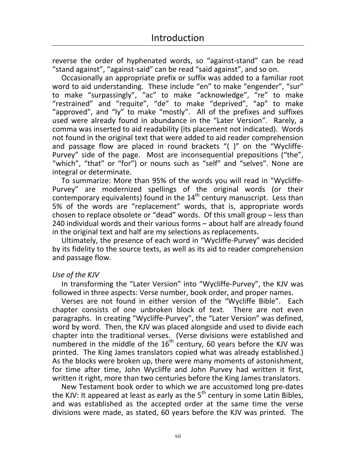reverse the order of hyphenated words, so "against-stand" can be read "stand against", "against-said" can be read "said against", and so on.

 Occasionally an appropriate prefix or suffix was added to a familiar root word to aid understanding. These include "en" to make "engender", "sur" to make "surpassingly", "ac" to make "acknowledge", "re" to make "restrained" and "requite", "de" to make "deprived", "ap" to make "approved", and "ly" to make "mostly". All of the prefixes and suffixes used were already found in abundance in the "Later Version". Rarely, a comma was inserted to aid readability (its placement not indicated). Words not found in the original text that were added to aid reader comprehension and passage flow are placed in round brackets "( )" on the "Wycliffe-Purvey" side of the page. Most are inconsequential prepositions ("the", "which", "that" or "for") or nouns such as "self" and "selves". None are integral or determinate.

 To summarize: More than 95% of the words you will read in "Wycliffe-Purvey" are modernized spellings of the original words (or their contemporary equivalents) found in the  $14<sup>th</sup>$  century manuscript. Less than 5% of the words are "replacement" words, that is, appropriate words chosen to replace obsolete or "dead" words. Of this small group – less than 240 individual words and their various forms – about half are already found in the original text and half are my selections as replacements.

 Ultimately, the presence of each word in "Wycliffe-Purvey" was decided by its fidelity to the source texts, as well as its aid to reader comprehension and passage flow.

### *Use of the KJV*

 In transforming the "Later Version" into "Wycliffe-Purvey", the KJV was followed in three aspects: Verse number, book order, and proper names.

 Verses are not found in either version of the "Wycliffe Bible". Each chapter consists of one unbroken block of text. There are not even paragraphs. In creating "Wycliffe-Purvey", the "Later Version" was defined, word by word. Then, the KJV was placed alongside and used to divide each chapter into the traditional verses. (Verse divisions were established and numbered in the middle of the  $16<sup>th</sup>$  century, 60 years before the KJV was printed. The King James translators copied what was already established.) As the blocks were broken up, there were many moments of astonishment, for time after time, John Wycliffe and John Purvey had written it first, written it right, more than two centuries before the King James translators.

 New Testament book order to which we are accustomed long pre-dates the KJV: It appeared at least as early as the 5<sup>th</sup> century in some Latin Bibles, and was established as the accepted order at the same time the verse divisions were made, as stated, 60 years before the KJV was printed. The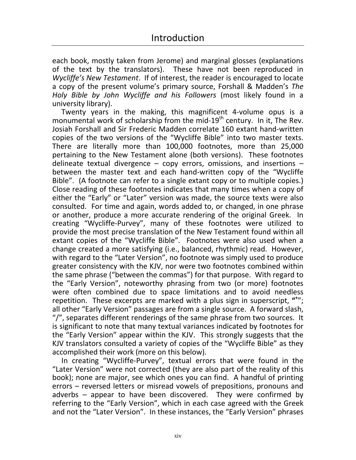# **New Testament**

Introduction Endnote W Z P Œ  $] v P \s Z$  - Œ o Ç s Œ ·  $'$ o}.. ΂ / v Conclusion

Old Testament